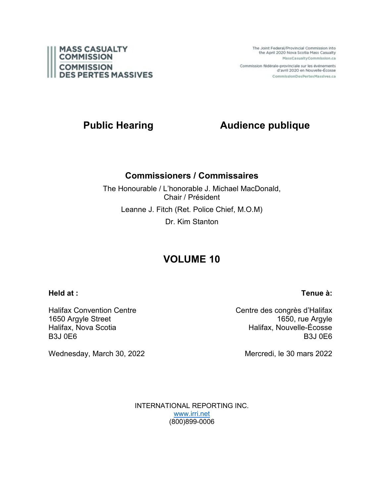

The Joint Federal/Provincial Commission into the April 2020 Nova Scotia Mass Casualty MassCasualtyCommission.ca

Commission fédérale-provinciale sur les événements d'avril 2020 en Nouvelle-Écosse CommissionDesPertesMassives.ca

# **Public Hearing Audience publique**

## **Commissioners / Commissaires**

The Honourable / L'honorable J. Michael MacDonald, Chair / Président Leanne J. Fitch (Ret. Police Chief, M.O.M) Dr. Kim Stanton

# **VOLUME 10**

**Held at :**

## **Tenue à:**

Halifax Convention Centre 1650 Argyle Street Halifax, Nova Scotia B3J 0E6

Centre des congrès d'Halifax 1650, rue Argyle Halifax, Nouvelle-Écosse B3J 0E6

Wednesday, March 30, 2022

Mercredi, le 30 mars 2022

INTERNATIONAL REPORTING INC. [www.irri.net](http://www.irri.net/) (800)899-0006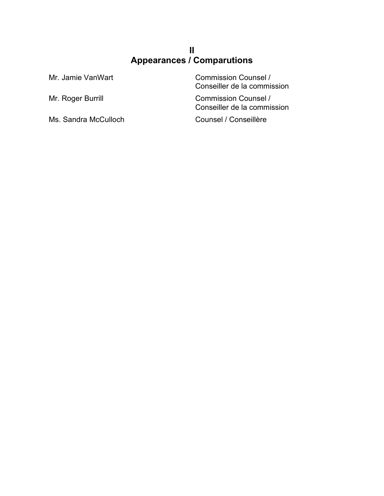# **II Appearances / Comparutions**

Ms. Sandra McCulloch Counsel / Conseillère

Mr. Jamie VanWart Commission Counsel / Conseiller de la commission

Mr. Roger Burrill **Commission Counsel /** Conseiller de la commission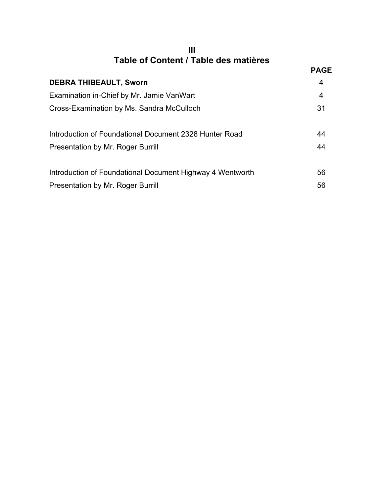| Ш                                     |  |
|---------------------------------------|--|
| Table of Content / Table des matières |  |

| נטווויט וועטוויט וועט די האוויט ווי                       |             |
|-----------------------------------------------------------|-------------|
|                                                           | <b>PAGE</b> |
| <b>DEBRA THIBEAULT, Sworn</b>                             | 4           |
| Examination in-Chief by Mr. Jamie VanWart                 | 4           |
| Cross-Examination by Ms. Sandra McCulloch                 | 31          |
| Introduction of Foundational Document 2328 Hunter Road    | 44          |
| <b>Presentation by Mr. Roger Burrill</b>                  | 44          |
| Introduction of Foundational Document Highway 4 Wentworth | 56          |
| <b>Presentation by Mr. Roger Burrill</b>                  | 56          |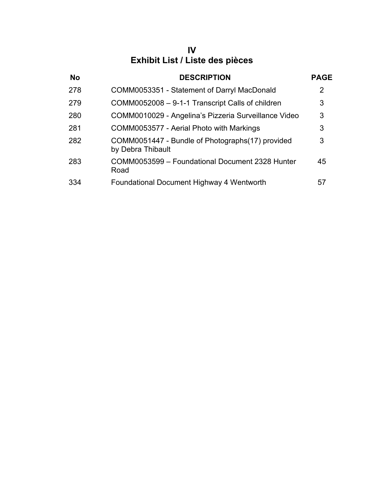# **IV Exhibit List / Liste des pièces**

| <b>No</b> | <b>DESCRIPTION</b>                                                    | <b>PAGE</b> |
|-----------|-----------------------------------------------------------------------|-------------|
| 278       | COMM0053351 - Statement of Darryl MacDonald                           | 2           |
| 279       | COMM0052008 - 9-1-1 Transcript Calls of children                      | 3           |
| 280       | COMM0010029 - Angelina's Pizzeria Surveillance Video                  | 3           |
| 281       | COMM0053577 - Aerial Photo with Markings                              | 3           |
| 282       | COMM0051447 - Bundle of Photographs(17) provided<br>by Debra Thibault | 3           |
| 283       | COMM0053599 - Foundational Document 2328 Hunter<br>Road               | 45          |
| 334       | Foundational Document Highway 4 Wentworth                             | 57          |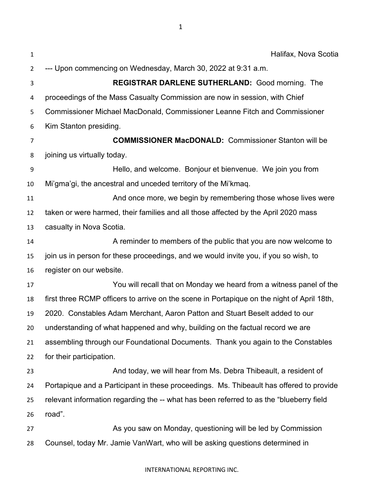| $\mathbf{1}$   | Halifax, Nova Scotia                                                                       |
|----------------|--------------------------------------------------------------------------------------------|
| $\overline{2}$ | --- Upon commencing on Wednesday, March 30, 2022 at 9:31 a.m.                              |
| 3              | <b>REGISTRAR DARLENE SUTHERLAND: Good morning. The</b>                                     |
| 4              | proceedings of the Mass Casualty Commission are now in session, with Chief                 |
| 5              | Commissioner Michael MacDonald, Commissioner Leanne Fitch and Commissioner                 |
| 6              | Kim Stanton presiding.                                                                     |
| 7              | <b>COMMISSIONER MacDONALD:</b> Commissioner Stanton will be                                |
| 8              | joining us virtually today.                                                                |
| 9              | Hello, and welcome. Bonjour et bienvenue. We join you from                                 |
| 10             | Mi'gma'gi, the ancestral and unceded territory of the Mi'kmaq.                             |
| 11             | And once more, we begin by remembering those whose lives were                              |
| 12             | taken or were harmed, their families and all those affected by the April 2020 mass         |
| 13             | casualty in Nova Scotia.                                                                   |
| 14             | A reminder to members of the public that you are now welcome to                            |
| 15             | join us in person for these proceedings, and we would invite you, if you so wish, to       |
| 16             | register on our website.                                                                   |
| 17             | You will recall that on Monday we heard from a witness panel of the                        |
| 18             | first three RCMP officers to arrive on the scene in Portapique on the night of April 18th, |
| 19             | 2020. Constables Adam Merchant, Aaron Patton and Stuart Beselt added to our                |
| 20             | understanding of what happened and why, building on the factual record we are              |
| 21             | assembling through our Foundational Documents. Thank you again to the Constables           |
| 22             | for their participation.                                                                   |
| 23             | And today, we will hear from Ms. Debra Thibeault, a resident of                            |
| 24             | Portapique and a Participant in these proceedings. Ms. Thibeault has offered to provide    |
| 25             | relevant information regarding the -- what has been referred to as the "blueberry field    |
| 26             | road".                                                                                     |
| 27             | As you saw on Monday, questioning will be led by Commission                                |
| 28             | Counsel, today Mr. Jamie VanWart, who will be asking questions determined in               |
|                |                                                                                            |

## INTERNATIONAL REPORTING INC.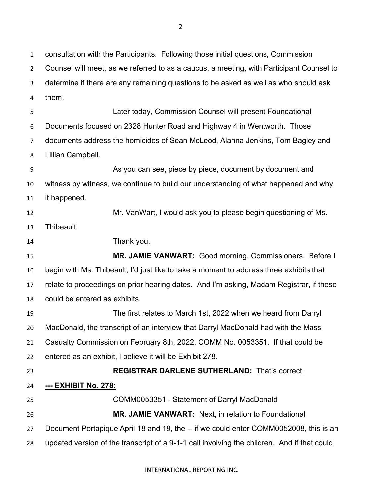consultation with the Participants. Following those initial questions, Commission Counsel will meet, as we referred to as a caucus, a meeting, with Participant Counsel to determine if there are any remaining questions to be asked as well as who should ask them. Later today, Commission Counsel will present Foundational Documents focused on 2328 Hunter Road and Highway 4 in Wentworth. Those documents address the homicides of Sean McLeod, Alanna Jenkins, Tom Bagley and Lillian Campbell. As you can see, piece by piece, document by document and witness by witness, we continue to build our understanding of what happened and why it happened. Mr. VanWart, I would ask you to please begin questioning of Ms. Thibeault. Thank you. **MR. JAMIE VANWART:** Good morning, Commissioners. Before I begin with Ms. Thibeault, I'd just like to take a moment to address three exhibits that relate to proceedings on prior hearing dates. And I'm asking, Madam Registrar, if these could be entered as exhibits. The first relates to March 1st, 2022 when we heard from Darryl MacDonald, the transcript of an interview that Darryl MacDonald had with the Mass Casualty Commission on February 8th, 2022, COMM No. 0053351. If that could be entered as an exhibit, I believe it will be Exhibit 278. **REGISTRAR DARLENE SUTHERLAND:** That's correct. **--- EXHIBIT No. 278:** COMM0053351 - Statement of Darryl MacDonald **MR. JAMIE VANWART:** Next, in relation to Foundational Document Portapique April 18 and 19, the -- if we could enter COMM0052008, this is an

updated version of the transcript of a 9-1-1 call involving the children. And if that could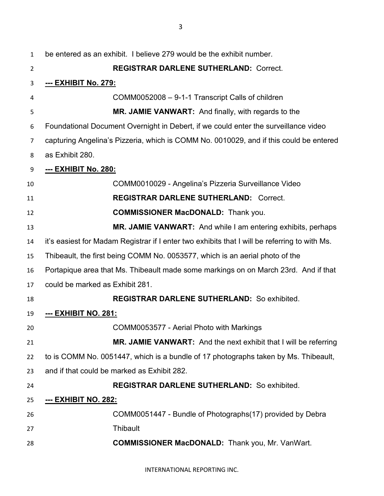| 1  | be entered as an exhibit. I believe 279 would be the exhibit number.                          |
|----|-----------------------------------------------------------------------------------------------|
| 2  | <b>REGISTRAR DARLENE SUTHERLAND: Correct.</b>                                                 |
| 3  | <u>--- EXHIBIT No. 279:</u>                                                                   |
| 4  | COMM0052008 - 9-1-1 Transcript Calls of children                                              |
| 5  | MR. JAMIE VANWART: And finally, with regards to the                                           |
| 6  | Foundational Document Overnight in Debert, if we could enter the surveillance video           |
| 7  | capturing Angelina's Pizzeria, which is COMM No. 0010029, and if this could be entered        |
| 8  | as Exhibit 280.                                                                               |
| 9  | --- EXHIBIT No. 280:                                                                          |
| 10 | COMM0010029 - Angelina's Pizzeria Surveillance Video                                          |
| 11 | <b>REGISTRAR DARLENE SUTHERLAND: Correct.</b>                                                 |
| 12 | <b>COMMISSIONER MacDONALD:</b> Thank you.                                                     |
| 13 | <b>MR. JAMIE VANWART:</b> And while I am entering exhibits, perhaps                           |
| 14 | it's easiest for Madam Registrar if I enter two exhibits that I will be referring to with Ms. |
| 15 | Thibeault, the first being COMM No. 0053577, which is an aerial photo of the                  |
| 16 | Portapique area that Ms. Thibeault made some markings on on March 23rd. And if that           |
| 17 | could be marked as Exhibit 281.                                                               |
| 18 | <b>REGISTRAR DARLENE SUTHERLAND: So exhibited.</b>                                            |
| 19 | <u>--- EXHIBIT NO. 281:</u>                                                                   |
| 20 | COMM0053577 - Aerial Photo with Markings                                                      |
| 21 | MR. JAMIE VANWART: And the next exhibit that I will be referring                              |
| 22 | to is COMM No. 0051447, which is a bundle of 17 photographs taken by Ms. Thibeault,           |
| 23 | and if that could be marked as Exhibit 282.                                                   |
| 24 | <b>REGISTRAR DARLENE SUTHERLAND: So exhibited.</b>                                            |
| 25 | --- EXHIBIT NO. 282:                                                                          |
| 26 | COMM0051447 - Bundle of Photographs(17) provided by Debra                                     |
| 27 | <b>Thibault</b>                                                                               |
| 28 | <b>COMMISSIONER MacDONALD:</b> Thank you, Mr. VanWart.                                        |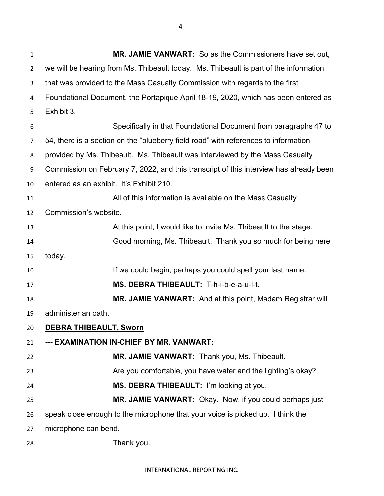**MR. JAMIE VANWART:** So as the Commissioners have set out, we will be hearing from Ms. Thibeault today. Ms. Thibeault is part of the information that was provided to the Mass Casualty Commission with regards to the first Foundational Document, the Portapique April 18-19, 2020, which has been entered as Exhibit 3. Specifically in that Foundational Document from paragraphs 47 to 54, there is a section on the "blueberry field road" with references to information provided by Ms. Thibeault. Ms. Thibeault was interviewed by the Mass Casualty Commission on February 7, 2022, and this transcript of this interview has already been entered as an exhibit. It's Exhibit 210. All of this information is available on the Mass Casualty Commission's website. At this point, I would like to invite Ms. Thibeault to the stage. Good morning, Ms. Thibeault. Thank you so much for being here today. If we could begin, perhaps you could spell your last name. **MS. DEBRA THIBEAULT:** T-h-i-b-e-a-u-l-t. **MR. JAMIE VANWART:** And at this point, Madam Registrar will administer an oath. **DEBRA THIBEAULT, Sworn --- EXAMINATION IN-CHIEF BY MR. VANWART: MR. JAMIE VANWART:** Thank you, Ms. Thibeault. Are you comfortable, you have water and the lighting's okay? **MS. DEBRA THIBEAULT:** I'm looking at you. **MR. JAMIE VANWART:** Okay. Now, if you could perhaps just speak close enough to the microphone that your voice is picked up. I think the microphone can bend. Thank you.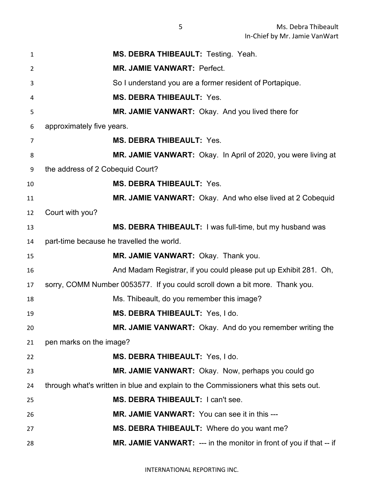| 1              | MS. DEBRA THIBEAULT: Testing. Yeah.                                                 |
|----------------|-------------------------------------------------------------------------------------|
| $\overline{2}$ | <b>MR. JAMIE VANWART: Perfect.</b>                                                  |
| 3              | So I understand you are a former resident of Portapique.                            |
| 4              | <b>MS. DEBRA THIBEAULT: Yes.</b>                                                    |
| 5              | MR. JAMIE VANWART: Okay. And you lived there for                                    |
| 6              | approximately five years.                                                           |
| 7              | <b>MS. DEBRA THIBEAULT: Yes.</b>                                                    |
| 8              | MR. JAMIE VANWART: Okay. In April of 2020, you were living at                       |
| 9              | the address of 2 Cobequid Court?                                                    |
| 10             | <b>MS. DEBRA THIBEAULT: Yes.</b>                                                    |
| 11             | MR. JAMIE VANWART: Okay. And who else lived at 2 Cobequid                           |
| 12             | Court with you?                                                                     |
| 13             | MS. DEBRA THIBEAULT: I was full-time, but my husband was                            |
| 14             | part-time because he travelled the world.                                           |
| 15             | MR. JAMIE VANWART: Okay. Thank you.                                                 |
| 16             | And Madam Registrar, if you could please put up Exhibit 281. Oh,                    |
| 17             | sorry, COMM Number 0053577. If you could scroll down a bit more. Thank you.         |
| 18             | Ms. Thibeault, do you remember this image?                                          |
| 19             | MS. DEBRA THIBEAULT: Yes, I do.                                                     |
| 20             | MR. JAMIE VANWART: Okay. And do you remember writing the                            |
| 21             | pen marks on the image?                                                             |
| 22             | MS. DEBRA THIBEAULT: Yes, I do.                                                     |
| 23             | MR. JAMIE VANWART: Okay. Now, perhaps you could go                                  |
| 24             | through what's written in blue and explain to the Commissioners what this sets out. |
| 25             | MS. DEBRA THIBEAULT: I can't see.                                                   |
| 26             | MR. JAMIE VANWART: You can see it in this ---                                       |
| 27             | MS. DEBRA THIBEAULT: Where do you want me?                                          |
| 28             | MR. JAMIE VANWART: --- in the monitor in front of you if that -- if                 |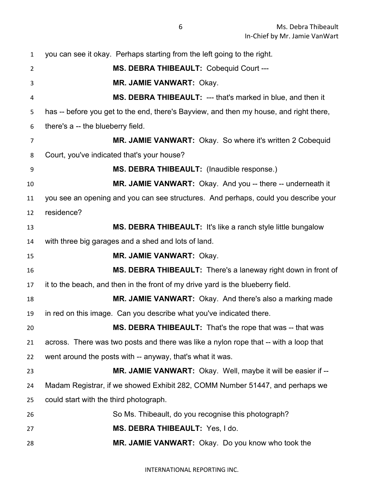| 1              | you can see it okay. Perhaps starting from the left going to the right.                |
|----------------|----------------------------------------------------------------------------------------|
| $\overline{2}$ | MS. DEBRA THIBEAULT: Cobequid Court ---                                                |
| 3              | MR. JAMIE VANWART: Okay.                                                               |
| 4              | MS. DEBRA THIBEAULT: --- that's marked in blue, and then it                            |
| 5              | has -- before you get to the end, there's Bayview, and then my house, and right there, |
| 6              | there's a -- the blueberry field.                                                      |
| 7              | MR. JAMIE VANWART: Okay. So where it's written 2 Cobequid                              |
| 8              | Court, you've indicated that's your house?                                             |
| 9              | MS. DEBRA THIBEAULT: (Inaudible response.)                                             |
| 10             | MR. JAMIE VANWART: Okay. And you -- there -- underneath it                             |
| 11             | you see an opening and you can see structures. And perhaps, could you describe your    |
| 12             | residence?                                                                             |
| 13             | MS. DEBRA THIBEAULT: It's like a ranch style little bungalow                           |
| 14             | with three big garages and a shed and lots of land.                                    |
| 15             | <b>MR. JAMIE VANWART: Okay.</b>                                                        |
| 16             | MS. DEBRA THIBEAULT: There's a laneway right down in front of                          |
| 17             | it to the beach, and then in the front of my drive yard is the blueberry field.        |
| 18             | MR. JAMIE VANWART: Okay. And there's also a marking made                               |
| 19             | in red on this image. Can you describe what you've indicated there.                    |
| 20             | MS. DEBRA THIBEAULT: That's the rope that was -- that was                              |
| 21             | across. There was two posts and there was like a nylon rope that -- with a loop that   |
| 22             | went around the posts with -- anyway, that's what it was.                              |
| 23             | MR. JAMIE VANWART: Okay. Well, maybe it will be easier if --                           |
| 24             | Madam Registrar, if we showed Exhibit 282, COMM Number 51447, and perhaps we           |
| 25             | could start with the third photograph.                                                 |
| 26             | So Ms. Thibeault, do you recognise this photograph?                                    |
| 27             | MS. DEBRA THIBEAULT: Yes, I do.                                                        |
| 28             | MR. JAMIE VANWART: Okay. Do you know who took the                                      |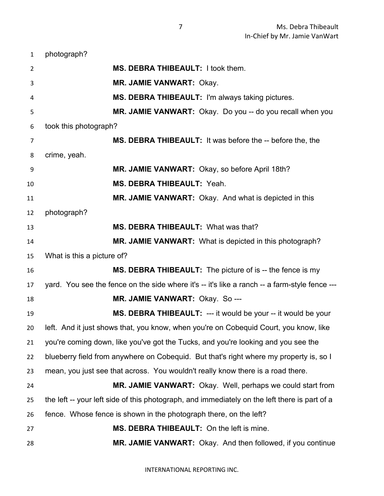photograph? **MS. DEBRA THIBEAULT:** I took them. **MR. JAMIE VANWART:** Okay. **MS. DEBRA THIBEAULT:** I'm always taking pictures. **MR. JAMIE VANWART:** Okay. Do you -- do you recall when you took this photograph? **MS. DEBRA THIBEAULT:** It was before the -- before the, the crime, yeah. **MR. JAMIE VANWART:** Okay, so before April 18th? **MS. DEBRA THIBEAULT:** Yeah. **MR. JAMIE VANWART:** Okay. And what is depicted in this photograph? **MS. DEBRA THIBEAULT:** What was that? **MR. JAMIE VANWART:** What is depicted in this photograph? What is this a picture of? **MS. DEBRA THIBEAULT:** The picture of is -- the fence is my yard. You see the fence on the side where it's -- it's like a ranch -- a farm-style fence --- **MR. JAMIE VANWART:** Okay. So --- **MS. DEBRA THIBEAULT:** --- it would be your -- it would be your left. And it just shows that, you know, when you're on Cobequid Court, you know, like you're coming down, like you've got the Tucks, and you're looking and you see the blueberry field from anywhere on Cobequid. But that's right where my property is, so I mean, you just see that across. You wouldn't really know there is a road there. **MR. JAMIE VANWART:** Okay. Well, perhaps we could start from the left -- your left side of this photograph, and immediately on the left there is part of a fence. Whose fence is shown in the photograph there, on the left? **MS. DEBRA THIBEAULT:** On the left is mine. **MR. JAMIE VANWART:** Okay. And then followed, if you continue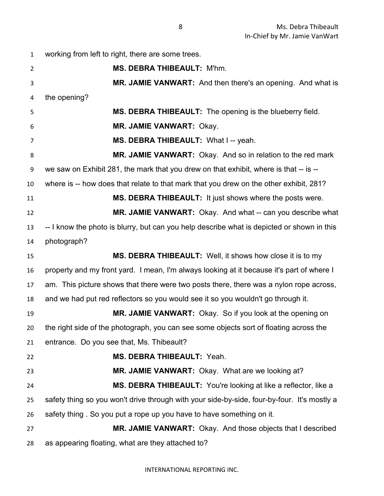working from left to right, there are some trees. **MS. DEBRA THIBEAULT:** M'hm. **MR. JAMIE VANWART:** And then there's an opening. And what is the opening? **MS. DEBRA THIBEAULT:** The opening is the blueberry field. **MR. JAMIE VANWART:** Okay. **MS. DEBRA THIBEAULT:** What I -- yeah. **MR. JAMIE VANWART:** Okay. And so in relation to the red mark we saw on Exhibit 281, the mark that you drew on that exhibit, where is that -- is -- where is -- how does that relate to that mark that you drew on the other exhibit, 281? **MS. DEBRA THIBEAULT:** It just shows where the posts were. **MR. JAMIE VANWART:** Okay. And what -- can you describe what -- I know the photo is blurry, but can you help describe what is depicted or shown in this photograph? **MS. DEBRA THIBEAULT:** Well, it shows how close it is to my property and my front yard. I mean, I'm always looking at it because it's part of where I am. This picture shows that there were two posts there, there was a nylon rope across, and we had put red reflectors so you would see it so you wouldn't go through it. **MR. JAMIE VANWART:** Okay. So if you look at the opening on the right side of the photograph, you can see some objects sort of floating across the entrance. Do you see that, Ms. Thibeault? **MS. DEBRA THIBEAULT:** Yeah. **MR. JAMIE VANWART:** Okay. What are we looking at? **MS. DEBRA THIBEAULT:** You're looking at like a reflector, like a safety thing so you won't drive through with your side-by-side, four-by-four. It's mostly a safety thing . So you put a rope up you have to have something on it. **MR. JAMIE VANWART:** Okay. And those objects that I described as appearing floating, what are they attached to?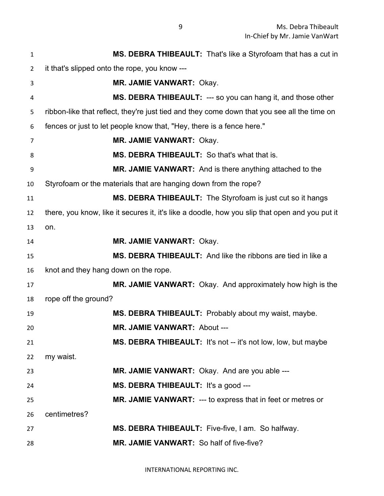| 1              | MS. DEBRA THIBEAULT: That's like a Styrofoam that has a cut in                                 |
|----------------|------------------------------------------------------------------------------------------------|
| $\overline{2}$ | it that's slipped onto the rope, you know ---                                                  |
| 3              | <b>MR. JAMIE VANWART: Okay.</b>                                                                |
| 4              | MS. DEBRA THIBEAULT: --- so you can hang it, and those other                                   |
| 5              | ribbon-like that reflect, they're just tied and they come down that you see all the time on    |
| 6              | fences or just to let people know that, "Hey, there is a fence here."                          |
| 7              | <b>MR. JAMIE VANWART: Okay.</b>                                                                |
| 8              | MS. DEBRA THIBEAULT: So that's what that is.                                                   |
| 9              | <b>MR. JAMIE VANWART:</b> And is there anything attached to the                                |
| 10             | Styrofoam or the materials that are hanging down from the rope?                                |
| 11             | MS. DEBRA THIBEAULT: The Styrofoam is just cut so it hangs                                     |
| 12             | there, you know, like it secures it, it's like a doodle, how you slip that open and you put it |
| 13             | on.                                                                                            |
| 14             | <b>MR. JAMIE VANWART: Okay.</b>                                                                |
| 15             | MS. DEBRA THIBEAULT: And like the ribbons are tied in like a                                   |
| 16             | knot and they hang down on the rope.                                                           |
| 17             | MR. JAMIE VANWART: Okay. And approximately how high is the                                     |
| 18             | rope off the ground?                                                                           |
| 19             | MS. DEBRA THIBEAULT: Probably about my waist, maybe.                                           |
| 20             | <b>MR. JAMIE VANWART: About ---</b>                                                            |
| 21             | MS. DEBRA THIBEAULT: It's not -- it's not low, low, but maybe                                  |
| 22             | my waist.                                                                                      |
| 23             | MR. JAMIE VANWART: Okay. And are you able ---                                                  |
| 24             | MS. DEBRA THIBEAULT: It's a good ---                                                           |
| 25             | MR. JAMIE VANWART: --- to express that in feet or metres or                                    |
| 26             | centimetres?                                                                                   |
| 27             | MS. DEBRA THIBEAULT: Five-five, I am. So halfway.                                              |
| 28             | MR. JAMIE VANWART: So half of five-five?                                                       |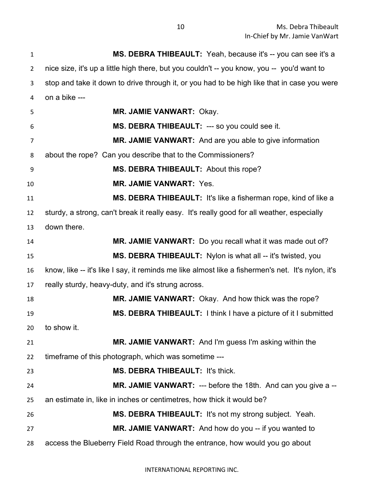**MS. DEBRA THIBEAULT:** Yeah, because it's -- you can see it's a nice size, it's up a little high there, but you couldn't -- you know, you -- you'd want to stop and take it down to drive through it, or you had to be high like that in case you were on a bike --- **MR. JAMIE VANWART:** Okay. **MS. DEBRA THIBEAULT:** --- so you could see it. **MR. JAMIE VANWART:** And are you able to give information about the rope? Can you describe that to the Commissioners? **MS. DEBRA THIBEAULT:** About this rope? **MR. JAMIE VANWART:** Yes. **MS. DEBRA THIBEAULT:** It's like a fisherman rope, kind of like a sturdy, a strong, can't break it really easy. It's really good for all weather, especially down there. **MR. JAMIE VANWART:** Do you recall what it was made out of? **MS. DEBRA THIBEAULT:** Nylon is what all -- it's twisted, you know, like -- it's like I say, it reminds me like almost like a fishermen's net. It's nylon, it's really sturdy, heavy-duty, and it's strung across. **MR. JAMIE VANWART:** Okay. And how thick was the rope? **MS. DEBRA THIBEAULT:** I think I have a picture of it I submitted to show it. **MR. JAMIE VANWART:** And I'm guess I'm asking within the timeframe of this photograph, which was sometime --- **MS. DEBRA THIBEAULT:** It's thick. **MR. JAMIE VANWART:** --- before the 18th. And can you give a -- an estimate in, like in inches or centimetres, how thick it would be? **MS. DEBRA THIBEAULT:** It's not my strong subject. Yeah. **MR. JAMIE VANWART:** And how do you -- if you wanted to access the Blueberry Field Road through the entrance, how would you go about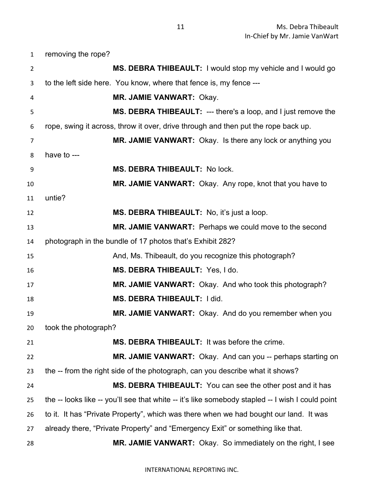removing the rope?

| $\overline{2}$ | MS. DEBRA THIBEAULT: I would stop my vehicle and I would go                                      |
|----------------|--------------------------------------------------------------------------------------------------|
| 3              | to the left side here. You know, where that fence is, my fence ---                               |
| 4              | MR. JAMIE VANWART: Okay.                                                                         |
| 5              | <b>MS. DEBRA THIBEAULT:</b> --- there's a loop, and I just remove the                            |
| 6              | rope, swing it across, throw it over, drive through and then put the rope back up.               |
| $\overline{7}$ | MR. JAMIE VANWART: Okay. Is there any lock or anything you                                       |
| 8              | have to ---                                                                                      |
| 9              | MS. DEBRA THIBEAULT: No lock.                                                                    |
| 10             | MR. JAMIE VANWART: Okay. Any rope, knot that you have to                                         |
| 11             | untie?                                                                                           |
| 12             | MS. DEBRA THIBEAULT: No, it's just a loop.                                                       |
| 13             | MR. JAMIE VANWART: Perhaps we could move to the second                                           |
| 14             | photograph in the bundle of 17 photos that's Exhibit 282?                                        |
| 15             | And, Ms. Thibeault, do you recognize this photograph?                                            |
| 16             | MS. DEBRA THIBEAULT: Yes, I do.                                                                  |
| 17             | MR. JAMIE VANWART: Okay. And who took this photograph?                                           |
| 18             | MS. DEBRA THIBEAULT: I did.                                                                      |
| 19             | MR. JAMIE VANWART: Okay. And do you remember when you                                            |
| 20             | took the photograph?                                                                             |
| 21             | MS. DEBRA THIBEAULT: It was before the crime                                                     |
| 22             | MR. JAMIE VANWART: Okay. And can you -- perhaps starting on                                      |
| 23             | the -- from the right side of the photograph, can you describe what it shows?                    |
| 24             | MS. DEBRA THIBEAULT: You can see the other post and it has                                       |
| 25             | the -- looks like -- you'll see that white -- it's like somebody stapled -- I wish I could point |
| 26             | to it. It has "Private Property", which was there when we had bought our land. It was            |
| 27             | already there, "Private Property" and "Emergency Exit" or something like that.                   |
| 28             | MR. JAMIE VANWART: Okay. So immediately on the right, I see                                      |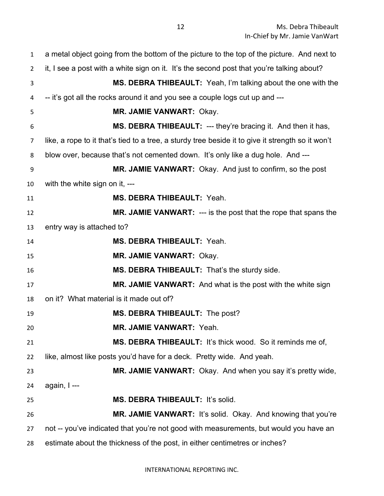| $\mathbf{1}$   | a metal object going from the bottom of the picture to the top of the picture. And next to        |
|----------------|---------------------------------------------------------------------------------------------------|
| $\overline{2}$ | it, I see a post with a white sign on it. It's the second post that you're talking about?         |
| 3              | <b>MS. DEBRA THIBEAULT:</b> Yeah, I'm talking about the one with the                              |
| 4              | -- it's got all the rocks around it and you see a couple logs cut up and ---                      |
| 5              | MR. JAMIE VANWART: Okay.                                                                          |
| 6              | MS. DEBRA THIBEAULT: --- they're bracing it. And then it has,                                     |
| $\overline{7}$ | like, a rope to it that's tied to a tree, a sturdy tree beside it to give it strength so it won't |
| 8              | blow over, because that's not cemented down. It's only like a dug hole. And ---                   |
| 9              | MR. JAMIE VANWART: Okay. And just to confirm, so the post                                         |
| 10             | with the white sign on it, ---                                                                    |
| 11             | <b>MS. DEBRA THIBEAULT: Yeah.</b>                                                                 |
| 12             | MR. JAMIE VANWART: --- is the post that the rope that spans the                                   |
| 13             | entry way is attached to?                                                                         |
| 14             | <b>MS. DEBRA THIBEAULT: Yeah.</b>                                                                 |
| 15             | <b>MR. JAMIE VANWART: Okay.</b>                                                                   |
| 16             | MS. DEBRA THIBEAULT: That's the sturdy side.                                                      |
| 17             | <b>MR. JAMIE VANWART:</b> And what is the post with the white sign                                |
| 18             | on it? What material is it made out of?                                                           |
| 19             | MS. DEBRA THIBEAULT: The post?                                                                    |
| 20             | <b>MR. JAMIE VANWART: Yeah.</b>                                                                   |
| 21             | MS. DEBRA THIBEAULT: It's thick wood. So it reminds me of,                                        |
| 22             | like, almost like posts you'd have for a deck. Pretty wide. And yeah.                             |
| 23             | <b>MR. JAMIE VANWART:</b> Okay. And when you say it's pretty wide,                                |
| 24             | again, I---                                                                                       |
| 25             | MS. DEBRA THIBEAULT: It's solid.                                                                  |
| 26             | <b>MR. JAMIE VANWART:</b> It's solid. Okay. And knowing that you're                               |
| 27             | not -- you've indicated that you're not good with measurements, but would you have an             |
| 28             | estimate about the thickness of the post, in either centimetres or inches?                        |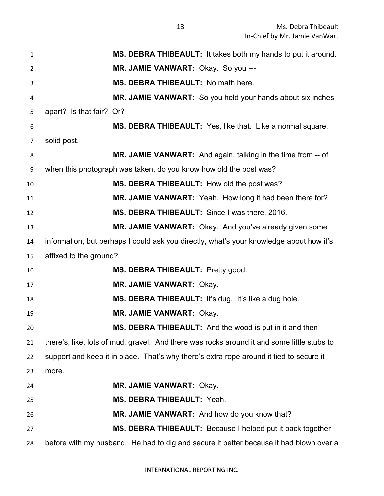Ms. Debra Thibeault In-Chief by Mr. Jamie VanWart

| $\mathbf{1}$   | MS. DEBRA THIBEAULT: It takes both my hands to put it around.                              |
|----------------|--------------------------------------------------------------------------------------------|
| $\overline{2}$ | MR. JAMIE VANWART: Okay. So you ---                                                        |
| 3              | MS. DEBRA THIBEAULT: No math here.                                                         |
| 4              | <b>MR. JAMIE VANWART:</b> So you held your hands about six inches                          |
| 5              | apart? Is that fair? Or?                                                                   |
| 6              | MS. DEBRA THIBEAULT: Yes, like that. Like a normal square,                                 |
| 7              | solid post.                                                                                |
| 8              | <b>MR. JAMIE VANWART:</b> And again, talking in the time from -- of                        |
| 9              | when this photograph was taken, do you know how old the post was?                          |
| 10             | MS. DEBRA THIBEAULT: How old the post was?                                                 |
| 11             | <b>MR. JAMIE VANWART:</b> Yeah. How long it had been there for?                            |
| 12             | MS. DEBRA THIBEAULT: Since I was there, 2016.                                              |
| 13             | MR. JAMIE VANWART: Okay. And you've already given some                                     |
| 14             | information, but perhaps I could ask you directly, what's your knowledge about how it's    |
| 15             | affixed to the ground?                                                                     |
| 16             | MS. DEBRA THIBEAULT: Pretty good.                                                          |
| 17             | <b>MR. JAMIE VANWART: Okay.</b>                                                            |
| 18             | MS. DEBRA THIBEAULT: It's dug. It's like a dug hole.                                       |
| 19             | MR. JAMIE VANWART: Okay.                                                                   |
| 20             | MS. DEBRA THIBEAULT: And the wood is put in it and then                                    |
| 21             | there's, like, lots of mud, gravel. And there was rocks around it and some little stubs to |
| 22             | support and keep it in place. That's why there's extra rope around it tied to secure it    |
| 23             | more.                                                                                      |
| 24             | <b>MR. JAMIE VANWART: Okay.</b>                                                            |
| 25             | <b>MS. DEBRA THIBEAULT: Yeah.</b>                                                          |
| 26             | MR. JAMIE VANWART: And how do you know that?                                               |
| 27             | MS. DEBRA THIBEAULT: Because I helped put it back together                                 |
| 28             | before with my husband. He had to dig and secure it better because it had blown over a     |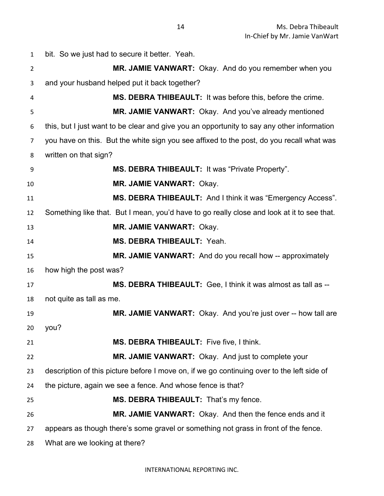bit. So we just had to secure it better. Yeah. **MR. JAMIE VANWART:** Okay. And do you remember when you and your husband helped put it back together? **MS. DEBRA THIBEAULT:** It was before this, before the crime. **MR. JAMIE VANWART:** Okay. And you've already mentioned this, but I just want to be clear and give you an opportunity to say any other information you have on this. But the white sign you see affixed to the post, do you recall what was written on that sign? **MS. DEBRA THIBEAULT:** It was "Private Property". **MR. JAMIE VANWART:** Okay. **MS. DEBRA THIBEAULT:** And I think it was "Emergency Access". Something like that. But I mean, you'd have to go really close and look at it to see that. **MR. JAMIE VANWART:** Okay. **MS. DEBRA THIBEAULT:** Yeah. **MR. JAMIE VANWART:** And do you recall how -- approximately how high the post was? **MS. DEBRA THIBEAULT:** Gee, I think it was almost as tall as -- not quite as tall as me. **MR. JAMIE VANWART:** Okay. And you're just over -- how tall are you? **MS. DEBRA THIBEAULT:** Five five, I think. **MR. JAMIE VANWART:** Okay. And just to complete your description of this picture before I move on, if we go continuing over to the left side of the picture, again we see a fence. And whose fence is that? **MS. DEBRA THIBEAULT:** That's my fence. **MR. JAMIE VANWART:** Okay. And then the fence ends and it appears as though there's some gravel or something not grass in front of the fence. What are we looking at there?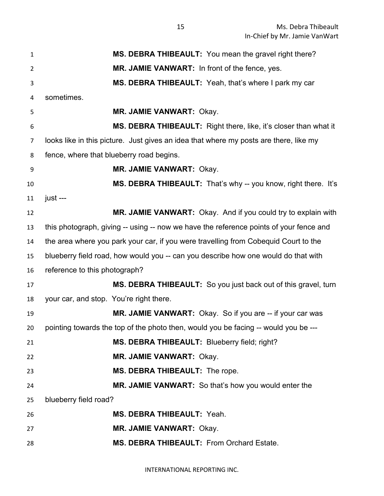| $\mathbf{1}$   | MS. DEBRA THIBEAULT: You mean the gravel right there?                                  |
|----------------|----------------------------------------------------------------------------------------|
| $\overline{2}$ | MR. JAMIE VANWART: In front of the fence, yes.                                         |
| 3              | MS. DEBRA THIBEAULT: Yeah, that's where I park my car                                  |
| 4              | sometimes.                                                                             |
| 5              | <b>MR. JAMIE VANWART: Okay.</b>                                                        |
| 6              | <b>MS. DEBRA THIBEAULT:</b> Right there, like, it's closer than what it                |
| $\overline{7}$ | looks like in this picture. Just gives an idea that where my posts are there, like my  |
| 8              | fence, where that blueberry road begins.                                               |
| 9              | <b>MR. JAMIE VANWART: Okay.</b>                                                        |
| 10             | MS. DEBRA THIBEAULT: That's why -- you know, right there. It's                         |
| 11             | just ---                                                                               |
| 12             | MR. JAMIE VANWART: Okay. And if you could try to explain with                          |
| 13             | this photograph, giving -- using -- now we have the reference points of your fence and |
| 14             | the area where you park your car, if you were travelling from Cobequid Court to the    |
| 15             | blueberry field road, how would you -- can you describe how one would do that with     |
| 16             | reference to this photograph?                                                          |
| 17             | MS. DEBRA THIBEAULT: So you just back out of this gravel, turn                         |
| 18             | your car, and stop. You're right there.                                                |
| 19             | MR. JAMIE VANWART: Okay. So if you are -- if your car was                              |
| 20             | pointing towards the top of the photo then, would you be facing -- would you be ---    |
| 21             | MS. DEBRA THIBEAULT: Blueberry field; right?                                           |
| 22             | <b>MR. JAMIE VANWART: Okay.</b>                                                        |
| 23             | MS. DEBRA THIBEAULT: The rope.                                                         |
| 24             | MR. JAMIE VANWART: So that's how you would enter the                                   |
| 25             | blueberry field road?                                                                  |
| 26             | <b>MS. DEBRA THIBEAULT: Yeah.</b>                                                      |
| 27             | <b>MR. JAMIE VANWART: Okay.</b>                                                        |
| 28             | MS. DEBRA THIBEAULT: From Orchard Estate.                                              |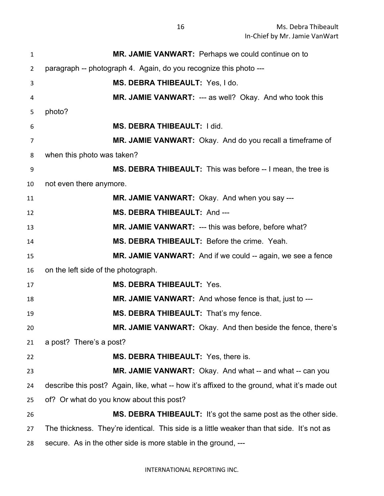| $\mathbf{1}$   | MR. JAMIE VANWART: Perhaps we could continue on to                                          |
|----------------|---------------------------------------------------------------------------------------------|
| $\overline{2}$ | paragraph -- photograph 4. Again, do you recognize this photo ---                           |
| 3              | MS. DEBRA THIBEAULT: Yes, I do.                                                             |
| 4              | MR. JAMIE VANWART: --- as well? Okay. And who took this                                     |
| 5              | photo?                                                                                      |
| 6              | MS. DEBRA THIBEAULT: I did.                                                                 |
| $\overline{7}$ | MR. JAMIE VANWART: Okay. And do you recall a timeframe of                                   |
| 8              | when this photo was taken?                                                                  |
| 9              | MS. DEBRA THIBEAULT: This was before -- I mean, the tree is                                 |
| 10             | not even there anymore.                                                                     |
| 11             | MR. JAMIE VANWART: Okay. And when you say ---                                               |
| 12             | MS. DEBRA THIBEAULT: And ---                                                                |
| 13             | <b>MR. JAMIE VANWART: --- this was before, before what?</b>                                 |
| 14             | MS. DEBRA THIBEAULT: Before the crime. Yeah.                                                |
| 15             | MR. JAMIE VANWART: And if we could -- again, we see a fence                                 |
| 16             | on the left side of the photograph.                                                         |
| 17             | <b>MS. DEBRA THIBEAULT: Yes.</b>                                                            |
| 18             | MR. JAMIE VANWART: And whose fence is that, just to ---                                     |
| 19             | MS. DEBRA THIBEAULT: That's my fence.                                                       |
| 20             | <b>MR. JAMIE VANWART:</b> Okay. And then beside the fence, there's                          |
| 21             | a post? There's a post?                                                                     |
| 22             | MS. DEBRA THIBEAULT: Yes, there is.                                                         |
| 23             | MR. JAMIE VANWART: Okay. And what -- and what -- can you                                    |
| 24             | describe this post? Again, like, what -- how it's affixed to the ground, what it's made out |
| 25             | of? Or what do you know about this post?                                                    |
| 26             | <b>MS. DEBRA THIBEAULT:</b> It's got the same post as the other side.                       |
| 27             | The thickness. They're identical. This side is a little weaker than that side. It's not as  |
| 28             | secure. As in the other side is more stable in the ground, ---                              |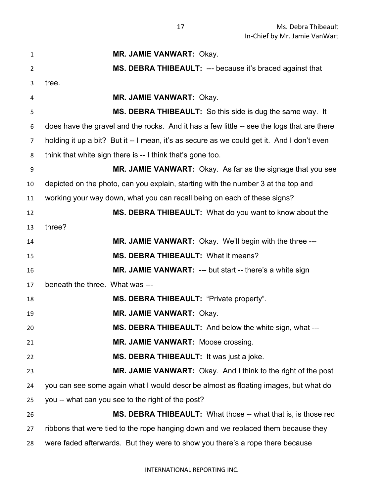| $\mathbf{1}$     | MR. JAMIE VANWART: Okay.                                                                   |
|------------------|--------------------------------------------------------------------------------------------|
| $\overline{2}$   | MS. DEBRA THIBEAULT: --- because it's braced against that                                  |
| 3                | tree.                                                                                      |
| 4                | <b>MR. JAMIE VANWART: Okay.</b>                                                            |
| 5                | MS. DEBRA THIBEAULT: So this side is dug the same way. It                                  |
| 6                | does have the gravel and the rocks. And it has a few little -- see the logs that are there |
| 7                | holding it up a bit? But it -- I mean, it's as secure as we could get it. And I don't even |
| 8                | think that white sign there is -- I think that's gone too.                                 |
| $\boldsymbol{9}$ | MR. JAMIE VANWART: Okay. As far as the signage that you see                                |
| 10               | depicted on the photo, can you explain, starting with the number 3 at the top and          |
| 11               | working your way down, what you can recall being on each of these signs?                   |
| 12               | <b>MS. DEBRA THIBEAULT:</b> What do you want to know about the                             |
| 13               | three?                                                                                     |
| 14               | <b>MR. JAMIE VANWART:</b> Okay. We'll begin with the three ---                             |
| 15               | MS. DEBRA THIBEAULT: What it means?                                                        |
| 16               | MR. JAMIE VANWART: --- but start -- there's a white sign                                   |
| 17               | beneath the three. What was ---                                                            |
| 18               | MS. DEBRA THIBEAULT: "Private property".                                                   |
| 19               | <b>MR. JAMIE VANWART: Okay.</b>                                                            |
| 20               | MS. DEBRA THIBEAULT: And below the white sign, what ---                                    |
| 21               | MR. JAMIE VANWART: Moose crossing.                                                         |
| 22               | MS. DEBRA THIBEAULT: It was just a joke.                                                   |
| 23               | MR. JAMIE VANWART: Okay. And I think to the right of the post                              |
| 24               | you can see some again what I would describe almost as floating images, but what do        |
| 25               | you -- what can you see to the right of the post?                                          |
| 26               | MS. DEBRA THIBEAULT: What those -- what that is, is those red                              |
| 27               | ribbons that were tied to the rope hanging down and we replaced them because they          |
| 28               | were faded afterwards. But they were to show you there's a rope there because              |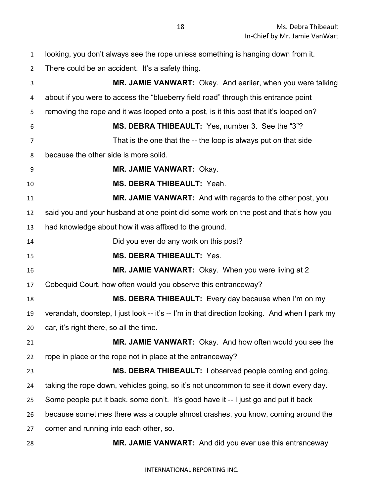looking, you don't always see the rope unless something is hanging down from it. There could be an accident. It's a safety thing. **MR. JAMIE VANWART:** Okay. And earlier, when you were talking about if you were to access the "blueberry field road" through this entrance point removing the rope and it was looped onto a post, is it this post that it's looped on? **MS. DEBRA THIBEAULT:** Yes, number 3. See the "3"? That is the one that the -- the loop is always put on that side because the other side is more solid. **MR. JAMIE VANWART:** Okay. **MS. DEBRA THIBEAULT:** Yeah. **MR. JAMIE VANWART:** And with regards to the other post, you said you and your husband at one point did some work on the post and that's how you had knowledge about how it was affixed to the ground. Did you ever do any work on this post? **MS. DEBRA THIBEAULT:** Yes. **MR. JAMIE VANWART:** Okay. When you were living at 2 Cobequid Court, how often would you observe this entranceway? **MS. DEBRA THIBEAULT:** Every day because when I'm on my verandah, doorstep, I just look -- it's -- I'm in that direction looking. And when I park my car, it's right there, so all the time. **MR. JAMIE VANWART:** Okay. And how often would you see the rope in place or the rope not in place at the entranceway? **MS. DEBRA THIBEAULT:** I observed people coming and going, taking the rope down, vehicles going, so it's not uncommon to see it down every day. Some people put it back, some don't. It's good have it -- I just go and put it back because sometimes there was a couple almost crashes, you know, coming around the

corner and running into each other, so.

**MR. JAMIE VANWART:** And did you ever use this entranceway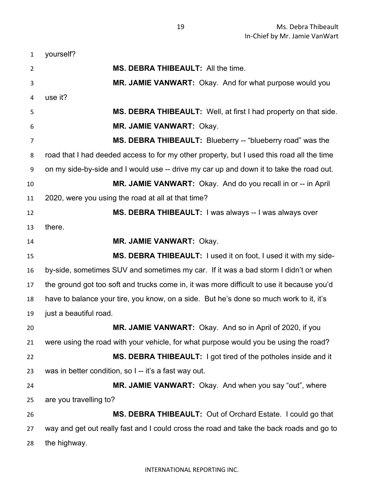yourself? **MS. DEBRA THIBEAULT:** All the time. **MR. JAMIE VANWART:** Okay. And for what purpose would you use it? **MS. DEBRA THIBEAULT:** Well, at first I had property on that side. **MR. JAMIE VANWART:** Okay. **MS. DEBRA THIBEAULT:** Blueberry -- "blueberry road" was the road that I had deeded access to for my other property, but I used this road all the time on my side-by-side and I would use -- drive my car up and down it to take the road out. **MR. JAMIE VANWART:** Okay. And do you recall in or -- in April 2020, were you using the road at all at that time? **MS. DEBRA THIBEAULT:** I was always -- I was always over there. **MR. JAMIE VANWART:** Okay. **MS. DEBRA THIBEAULT:** I used it on foot, I used it with my side- by-side, sometimes SUV and sometimes my car. If it was a bad storm I didn't or when the ground got too soft and trucks come in, it was more difficult to use it because you'd have to balance your tire, you know, on a side. But he's done so much work to it, it's just a beautiful road. **MR. JAMIE VANWART:** Okay. And so in April of 2020, if you were using the road with your vehicle, for what purpose would you be using the road? **MS. DEBRA THIBEAULT:** I got tired of the potholes inside and it was in better condition, so I -- it's a fast way out. **MR. JAMIE VANWART:** Okay. And when you say "out", where are you travelling to? **MS. DEBRA THIBEAULT:** Out of Orchard Estate. I could go that way and get out really fast and I could cross the road and take the back roads and go to the highway.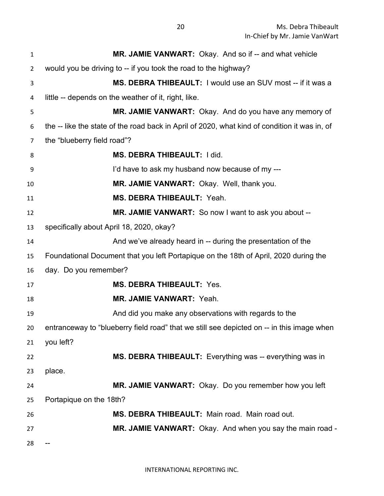| 1  | MR. JAMIE VANWART: Okay. And so if -- and what vehicle                                        |
|----|-----------------------------------------------------------------------------------------------|
| 2  | would you be driving to -- if you took the road to the highway?                               |
| 3  | MS. DEBRA THIBEAULT: I would use an SUV most -- if it was a                                   |
| 4  | little -- depends on the weather of it, right, like.                                          |
| 5  | MR. JAMIE VANWART: Okay. And do you have any memory of                                        |
| 6  | the -- like the state of the road back in April of 2020, what kind of condition it was in, of |
| 7  | the "blueberry field road"?                                                                   |
| 8  | <b>MS. DEBRA THIBEAULT: I did.</b>                                                            |
| 9  | I'd have to ask my husband now because of my ---                                              |
| 10 | MR. JAMIE VANWART: Okay. Well, thank you.                                                     |
| 11 | MS. DEBRA THIBEAULT: Yeah.                                                                    |
| 12 | MR. JAMIE VANWART: So now I want to ask you about --                                          |
| 13 | specifically about April 18, 2020, okay?                                                      |
| 14 | And we've already heard in -- during the presentation of the                                  |
| 15 | Foundational Document that you left Portapique on the 18th of April, 2020 during the          |
| 16 | day. Do you remember?                                                                         |
| 17 | <b>MS. DEBRA THIBEAULT: Yes.</b>                                                              |
| 18 | <b>MR. JAMIE VANWART: Yeah.</b>                                                               |
| 19 | And did you make any observations with regards to the                                         |
| 20 | entranceway to "blueberry field road" that we still see depicted on -- in this image when     |
| 21 | you left?                                                                                     |
| 22 | MS. DEBRA THIBEAULT: Everything was -- everything was in                                      |
| 23 | place.                                                                                        |
| 24 | MR. JAMIE VANWART: Okay. Do you remember how you left                                         |
| 25 | Portapique on the 18th?                                                                       |
| 26 | MS. DEBRA THIBEAULT: Main road. Main road out.                                                |
| 27 | MR. JAMIE VANWART: Okay. And when you say the main road -                                     |
| 28 |                                                                                               |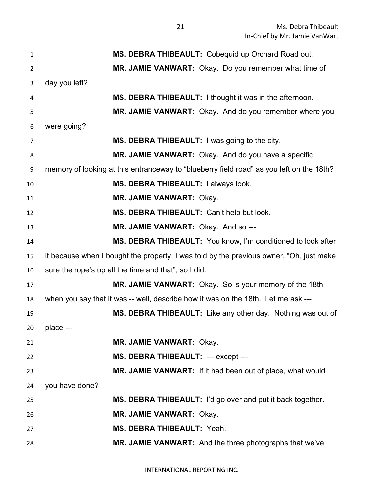| $\mathbf{1}$   | MS. DEBRA THIBEAULT: Cobequid up Orchard Road out.                                       |
|----------------|------------------------------------------------------------------------------------------|
| $\overline{2}$ | MR. JAMIE VANWART: Okay. Do you remember what time of                                    |
| 3              | day you left?                                                                            |
| 4              | MS. DEBRA THIBEAULT: I thought it was in the afternoon.                                  |
| 5              | MR. JAMIE VANWART: Okay. And do you remember where you                                   |
| 6              | were going?                                                                              |
| $\overline{7}$ | MS. DEBRA THIBEAULT: I was going to the city.                                            |
| 8              | MR. JAMIE VANWART: Okay. And do you have a specific                                      |
| 9              | memory of looking at this entranceway to "blueberry field road" as you left on the 18th? |
| 10             | MS. DEBRA THIBEAULT: I always look.                                                      |
| 11             | <b>MR. JAMIE VANWART: Okay.</b>                                                          |
| 12             | MS. DEBRA THIBEAULT: Can't help but look.                                                |
| 13             | MR. JAMIE VANWART: Okay. And so ---                                                      |
| 14             | MS. DEBRA THIBEAULT: You know, I'm conditioned to look after                             |
| 15             | it because when I bought the property, I was told by the previous owner, "Oh, just make  |
| 16             | sure the rope's up all the time and that", so I did.                                     |
| 17             | MR. JAMIE VANWART: Okay. So is your memory of the 18th                                   |
| 18             | when you say that it was -- well, describe how it was on the 18th. Let me ask ---        |
| 19             | MS. DEBRA THIBEAULT: Like any other day. Nothing was out of                              |
| 20             | place ---                                                                                |
| 21             | <b>MR. JAMIE VANWART: Okay.</b>                                                          |
| 22             | MS. DEBRA THIBEAULT: --- except ---                                                      |
| 23             | MR. JAMIE VANWART: If it had been out of place, what would                               |
| 24             | you have done?                                                                           |
| 25             | MS. DEBRA THIBEAULT: I'd go over and put it back together.                               |
| 26             | <b>MR. JAMIE VANWART: Okay.</b>                                                          |
| 27             | MS. DEBRA THIBEAULT: Yeah.                                                               |
| 28             | MR. JAMIE VANWART: And the three photographs that we've                                  |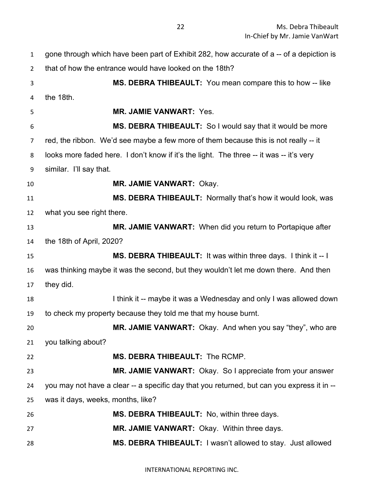| $\mathbf{1}$   | gone through which have been part of Exhibit 282, how accurate of a -- of a depiction is   |
|----------------|--------------------------------------------------------------------------------------------|
| $\overline{2}$ | that of how the entrance would have looked on the 18th?                                    |
| 3              | <b>MS. DEBRA THIBEAULT:</b> You mean compare this to how -- like                           |
| 4              | the 18th.                                                                                  |
| 5              | <b>MR. JAMIE VANWART: Yes.</b>                                                             |
| 6              | MS. DEBRA THIBEAULT: So I would say that it would be more                                  |
| 7              | red, the ribbon. We'd see maybe a few more of them because this is not really -- it        |
| 8              | looks more faded here. I don't know if it's the light. The three -- it was -- it's very    |
| 9              | similar. I'll say that.                                                                    |
| 10             | <b>MR. JAMIE VANWART: Okay.</b>                                                            |
| 11             | MS. DEBRA THIBEAULT: Normally that's how it would look, was                                |
| 12             | what you see right there.                                                                  |
| 13             | MR. JAMIE VANWART: When did you return to Portapique after                                 |
| 14             | the 18th of April, 2020?                                                                   |
| 15             | MS. DEBRA THIBEAULT: It was within three days. I think it -- I                             |
| 16             | was thinking maybe it was the second, but they wouldn't let me down there. And then        |
| 17             | they did.                                                                                  |
| 18             | I think it -- maybe it was a Wednesday and only I was allowed down                         |
| 19             | to check my property because they told me that my house burnt.                             |
| 20             | <b>MR. JAMIE VANWART:</b> Okay. And when you say "they", who are                           |
| 21             | you talking about?                                                                         |
| 22             | MS. DEBRA THIBEAULT: The RCMP.                                                             |
| 23             | MR. JAMIE VANWART: Okay. So I appreciate from your answer                                  |
| 24             | you may not have a clear -- a specific day that you returned, but can you express it in -- |
| 25             | was it days, weeks, months, like?                                                          |
| 26             | MS. DEBRA THIBEAULT: No, within three days.                                                |
| 27             | <b>MR. JAMIE VANWART: Okay. Within three days.</b>                                         |
| 28             | MS. DEBRA THIBEAULT: I wasn't allowed to stay. Just allowed                                |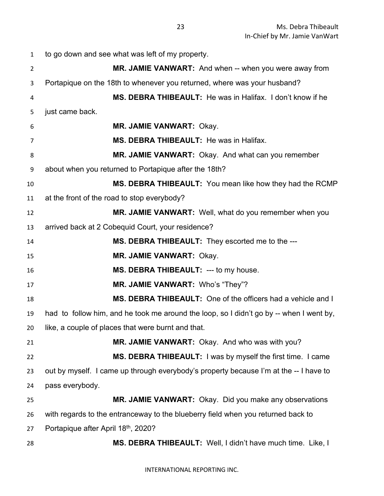to go down and see what was left of my property. **MR. JAMIE VANWART:** And when -- when you were away from Portapique on the 18th to whenever you returned, where was your husband? **MS. DEBRA THIBEAULT:** He was in Halifax. I don't know if he just came back. **MR. JAMIE VANWART:** Okay. **MS. DEBRA THIBEAULT:** He was in Halifax. **MR. JAMIE VANWART:** Okay. And what can you remember about when you returned to Portapique after the 18th? **MS. DEBRA THIBEAULT:** You mean like how they had the RCMP at the front of the road to stop everybody? **MR. JAMIE VANWART:** Well, what do you remember when you arrived back at 2 Cobequid Court, your residence? **MS. DEBRA THIBEAULT:** They escorted me to the --- **MR. JAMIE VANWART:** Okay. **MS. DEBRA THIBEAULT:** --- to my house. **MR. JAMIE VANWART:** Who's "They"? **MS. DEBRA THIBEAULT:** One of the officers had a vehicle and I had to follow him, and he took me around the loop, so I didn't go by -- when I went by, like, a couple of places that were burnt and that. **MR. JAMIE VANWART:** Okay. And who was with you? **MS. DEBRA THIBEAULT:** I was by myself the first time. I came out by myself. I came up through everybody's property because I'm at the -- I have to pass everybody. **MR. JAMIE VANWART:** Okay. Did you make any observations with regards to the entranceway to the blueberry field when you returned back to 27 Portapique after April 18<sup>th</sup>, 2020? **MS. DEBRA THIBEAULT:** Well, I didn't have much time. Like, I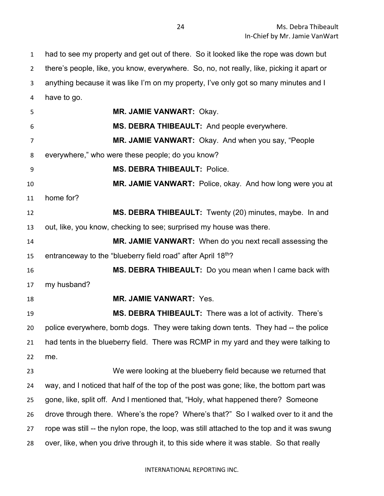had to see my property and get out of there. So it looked like the rope was down but there's people, like, you know, everywhere. So, no, not really, like, picking it apart or anything because it was like I'm on my property, I've only got so many minutes and I have to go.

 **MR. JAMIE VANWART:** Okay. **MS. DEBRA THIBEAULT:** And people everywhere. **MR. JAMIE VANWART:** Okay. And when you say, "People everywhere," who were these people; do you know? **MS. DEBRA THIBEAULT:** Police. **MR. JAMIE VANWART:** Police, okay. And how long were you at home for? **MS. DEBRA THIBEAULT:** Twenty (20) minutes, maybe. In and out, like, you know, checking to see; surprised my house was there. **MR. JAMIE VANWART:** When do you next recall assessing the 15 entranceway to the "blueberry field road" after April  $18<sup>th</sup>$ ? **MS. DEBRA THIBEAULT:** Do you mean when I came back with my husband? **MR. JAMIE VANWART:** Yes. **MS. DEBRA THIBEAULT:** There was a lot of activity. There's police everywhere, bomb dogs. They were taking down tents. They had -- the police had tents in the blueberry field. There was RCMP in my yard and they were talking to me. We were looking at the blueberry field because we returned that way, and I noticed that half of the top of the post was gone; like, the bottom part was gone, like, split off. And I mentioned that, "Holy, what happened there? Someone drove through there. Where's the rope? Where's that?" So I walked over to it and the rope was still -- the nylon rope, the loop, was still attached to the top and it was swung over, like, when you drive through it, to this side where it was stable. So that really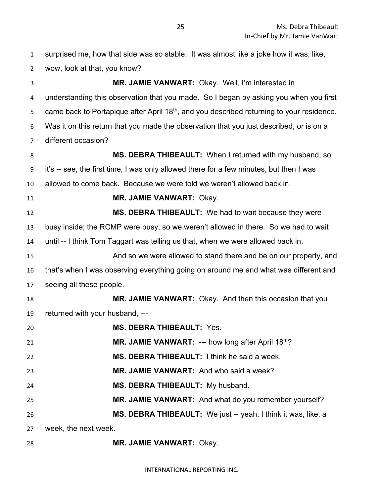| $\mathbf{1}$ | surprised me, how that side was so stable. It was almost like a joke how it was, like,                |
|--------------|-------------------------------------------------------------------------------------------------------|
| 2            | wow, look at that, you know?                                                                          |
| 3            | MR. JAMIE VANWART: Okay. Well, I'm interested in                                                      |
| 4            | understanding this observation that you made. So I began by asking you when you first                 |
| 5            | came back to Portapique after April 18 <sup>th</sup> , and you described returning to your residence. |
| 6            | Was it on this return that you made the observation that you just described, or is on a               |
| 7            | different occasion?                                                                                   |
| 8            | MS. DEBRA THIBEAULT: When I returned with my husband, so                                              |
| 9            | it's -- see, the first time, I was only allowed there for a few minutes, but then I was               |
| 10           | allowed to come back. Because we were told we weren't allowed back in.                                |
| 11           | <b>MR. JAMIE VANWART: Okay.</b>                                                                       |
| 12           | MS. DEBRA THIBEAULT: We had to wait because they were                                                 |
| 13           | busy inside; the RCMP were busy, so we weren't allowed in there. So we had to wait                    |
| 14           | until -- I think Tom Taggart was telling us that, when we were allowed back in.                       |
| 15           | And so we were allowed to stand there and be on our property, and                                     |
| 16           | that's when I was observing everything going on around me and what was different and                  |
| 17           | seeing all these people.                                                                              |
| 18           | MR. JAMIE VANWART: Okay. And then this occasion that you                                              |
| 19           | returned with your husband, ---                                                                       |
| 20           | <b>MS. DEBRA THIBEAULT: Yes</b>                                                                       |
| 21           | MR. JAMIE VANWART: --- how long after April 18th?                                                     |
| 22           | MS. DEBRA THIBEAULT: I think he said a week.                                                          |
| 23           | MR. JAMIE VANWART: And who said a week?                                                               |
| 24           | MS. DEBRA THIBEAULT: My husband.                                                                      |
| 25           | MR. JAMIE VANWART: And what do you remember yourself?                                                 |
| 26           | MS. DEBRA THIBEAULT: We just -- yeah, I think it was, like, a                                         |
| 27           | week, the next week.                                                                                  |
|              |                                                                                                       |

**MR. JAMIE VANWART:** Okay.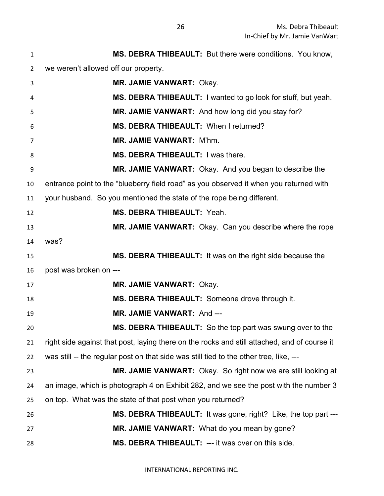| $\mathbf{1}$   | MS. DEBRA THIBEAULT: But there were conditions. You know,                                    |
|----------------|----------------------------------------------------------------------------------------------|
| $\overline{2}$ | we weren't allowed off our property.                                                         |
| 3              | <b>MR. JAMIE VANWART: Okay.</b>                                                              |
| 4              | MS. DEBRA THIBEAULT: I wanted to go look for stuff, but yeah.                                |
| 5              | MR. JAMIE VANWART: And how long did you stay for?                                            |
| 6              | MS. DEBRA THIBEAULT: When I returned?                                                        |
| 7              | MR. JAMIE VANWART: M'hm.                                                                     |
| 8              | MS. DEBRA THIBEAULT: I was there.                                                            |
| 9              | MR. JAMIE VANWART: Okay. And you began to describe the                                       |
| 10             | entrance point to the "blueberry field road" as you observed it when you returned with       |
| 11             | your husband. So you mentioned the state of the rope being different.                        |
| 12             | MS. DEBRA THIBEAULT: Yeah.                                                                   |
| 13             | MR. JAMIE VANWART: Okay. Can you describe where the rope                                     |
| 14             | was?                                                                                         |
| 15             | MS. DEBRA THIBEAULT: It was on the right side because the                                    |
| 16             | post was broken on ---                                                                       |
| 17             | <b>MR. JAMIE VANWART: Okay.</b>                                                              |
| 18             | MS. DEBRA THIBEAULT: Someone drove through it.                                               |
| 19             | <b>MR. JAMIE VANWART: And ---</b>                                                            |
| 20             | MS. DEBRA THIBEAULT: So the top part was swung over to the                                   |
| 21             | right side against that post, laying there on the rocks and still attached, and of course it |
| 22             | was still -- the regular post on that side was still tied to the other tree, like, ---       |
| 23             | MR. JAMIE VANWART: Okay. So right now we are still looking at                                |
| 24             | an image, which is photograph 4 on Exhibit 282, and we see the post with the number 3        |
| 25             | on top. What was the state of that post when you returned?                                   |
| 26             | <b>MS. DEBRA THIBEAULT:</b> It was gone, right? Like, the top part ---                       |
| 27             | MR. JAMIE VANWART: What do you mean by gone?                                                 |
| 28             | MS. DEBRA THIBEAULT: --- it was over on this side.                                           |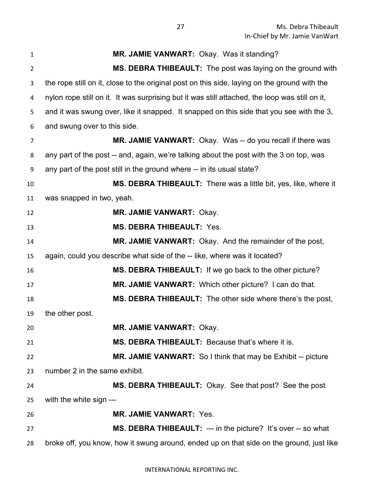| 1              | MR. JAMIE VANWART: Okay. Was it standing?                                                      |
|----------------|------------------------------------------------------------------------------------------------|
| $\overline{2}$ | MS. DEBRA THIBEAULT: The post was laying on the ground with                                    |
| 3              | the rope still on it, close to the original post on this side, laying on the ground with the   |
| 4              | nylon rope still on it. It was surprising but it was still attached, the loop was still on it, |
| 5              | and it was swung over, like it snapped. It snapped on this side that you see with the 3,       |
| 6              | and swung over to this side.                                                                   |
| 7              | MR. JAMIE VANWART: Okay. Was -- do you recall if there was                                     |
| 8              | any part of the post -- and, again, we're talking about the post with the 3 on top, was        |
| 9              | any part of the post still in the ground where -- in its usual state?                          |
| 10             | MS. DEBRA THIBEAULT: There was a little bit, yes, like, where it                               |
| 11             | was snapped in two, yeah.                                                                      |
| 12             | <b>MR. JAMIE VANWART: Okay.</b>                                                                |
| 13             | <b>MS. DEBRA THIBEAULT: Yes.</b>                                                               |
| 14             | MR. JAMIE VANWART: Okay. And the remainder of the post,                                        |
| 15             | again, could you describe what side of the -- like, where was it located?                      |
| 16             | MS. DEBRA THIBEAULT: If we go back to the other picture?                                       |
| 17             | MR. JAMIE VANWART: Which other picture? I can do that.                                         |
| 18             | MS. DEBRA THIBEAULT: The other side where there's the post,                                    |
| 19             | the other post.                                                                                |
| 20             | <b>MR. JAMIE VANWART: Okay.</b>                                                                |
| 21             | MS. DEBRA THIBEAULT: Because that's where it is.                                               |
| 22             | MR. JAMIE VANWART: So I think that may be Exhibit -- picture                                   |
| 23             | number 2 in the same exhibit.                                                                  |
| 24             | MS. DEBRA THIBEAULT: Okay. See that post? See the post                                         |
| 25             | with the white sign ---                                                                        |
| 26             | <b>MR. JAMIE VANWART: Yes.</b>                                                                 |
| 27             | <b>MS. DEBRA THIBEAULT:</b> --- in the picture? It's over -- so what                           |
| 28             | broke off, you know, how it swung around, ended up on that side on the ground, just like       |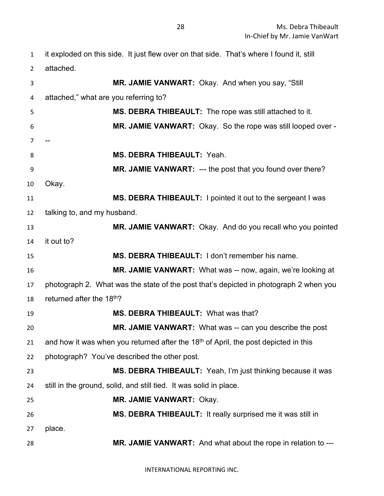| $\mathbf{1}$   | it exploded on this side. It just flew over on that side. That's where I found it, still |
|----------------|------------------------------------------------------------------------------------------|
| $\overline{2}$ | attached.                                                                                |
| 3              | MR. JAMIE VANWART: Okay. And when you say, "Still                                        |
| 4              | attached," what are you referring to?                                                    |
| 5              | MS. DEBRA THIBEAULT: The rope was still attached to it.                                  |
| 6              | MR. JAMIE VANWART: Okay. So the rope was still looped over -                             |
| 7              |                                                                                          |
| 8              | <b>MS. DEBRA THIBEAULT: Yeah.</b>                                                        |
| 9              | MR. JAMIE VANWART: --- the post that you found over there?                               |
| 10             | Okay.                                                                                    |
| 11             | MS. DEBRA THIBEAULT: I pointed it out to the sergeant I was                              |
| 12             | talking to, and my husband.                                                              |
| 13             | MR. JAMIE VANWART: Okay. And do you recall who you pointed                               |
| 14             | it out to?                                                                               |
| 15             | MS. DEBRA THIBEAULT: I don't remember his name.                                          |
| 16             | <b>MR. JAMIE VANWART:</b> What was -- now, again, we're looking at                       |
| 17             | photograph 2. What was the state of the post that's depicted in photograph 2 when you    |
| 18             | returned after the 18 <sup>th</sup> ?                                                    |
| 19             | MS. DEBRA THIBEAULT: What was that?                                                      |
| 20             | <b>MR. JAMIE VANWART:</b> What was -- can you describe the post                          |
| 21             | and how it was when you returned after the $18th$ of April, the post depicted in this    |
| 22             | photograph? You've described the other post.                                             |
| 23             | MS. DEBRA THIBEAULT: Yeah, I'm just thinking because it was                              |
| 24             | still in the ground, solid, and still tied. It was solid in place.                       |
| 25             | MR. JAMIE VANWART: Okay.                                                                 |
| 26             | MS. DEBRA THIBEAULT: It really surprised me it was still in                              |
| 27             | place.                                                                                   |
| 28             | MR. JAMIE VANWART: And what about the rope in relation to ---                            |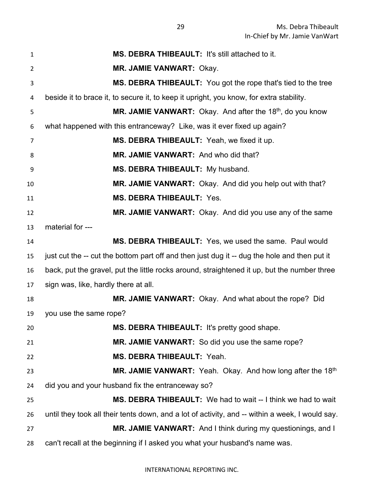| $\mathbf{1}$   | MS. DEBRA THIBEAULT: It's still attached to it.                                                 |
|----------------|-------------------------------------------------------------------------------------------------|
| $\overline{2}$ | <b>MR. JAMIE VANWART: Okay.</b>                                                                 |
| 3              | <b>MS. DEBRA THIBEAULT:</b> You got the rope that's tied to the tree                            |
| 4              | beside it to brace it, to secure it, to keep it upright, you know, for extra stability.         |
| 5              | <b>MR. JAMIE VANWART:</b> Okay. And after the $18th$ , do you know                              |
| 6              | what happened with this entranceway? Like, was it ever fixed up again?                          |
| 7              | MS. DEBRA THIBEAULT: Yeah, we fixed it up.                                                      |
| 8              | MR. JAMIE VANWART: And who did that?                                                            |
| 9              | MS. DEBRA THIBEAULT: My husband.                                                                |
| 10             | MR. JAMIE VANWART: Okay. And did you help out with that?                                        |
| 11             | <b>MS. DEBRA THIBEAULT: Yes.</b>                                                                |
| 12             | MR. JAMIE VANWART: Okay. And did you use any of the same                                        |
| 13             | material for ---                                                                                |
| 14             | MS. DEBRA THIBEAULT: Yes, we used the same. Paul would                                          |
| 15             | just cut the -- cut the bottom part off and then just dug it -- dug the hole and then put it    |
| 16             | back, put the gravel, put the little rocks around, straightened it up, but the number three     |
| 17             | sign was, like, hardly there at all.                                                            |
| 18             | MR. JAMIE VANWART: Okay. And what about the rope? Did                                           |
| 19             | you use the same rope?                                                                          |
| 20             | MS. DEBRA THIBEAULT: It's pretty good shape.                                                    |
| 21             | MR. JAMIE VANWART: So did you use the same rope?                                                |
| 22             | MS. DEBRA THIBEAULT: Yeah.                                                                      |
| 23             | MR. JAMIE VANWART: Yeah. Okay. And how long after the 18th                                      |
| 24             | did you and your husband fix the entranceway so?                                                |
| 25             | MS. DEBRA THIBEAULT: We had to wait -- I think we had to wait                                   |
| 26             | until they took all their tents down, and a lot of activity, and -- within a week, I would say. |
| 27             | MR. JAMIE VANWART: And I think during my questionings, and I                                    |
| 28             | can't recall at the beginning if I asked you what your husband's name was.                      |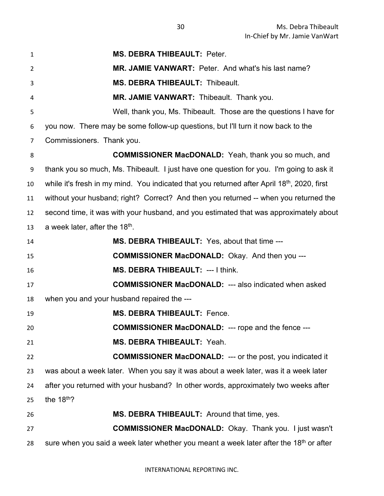**MS. DEBRA THIBEAULT:** Peter. **MR. JAMIE VANWART:** Peter. And what's his last name? **MS. DEBRA THIBEAULT:** Thibeault. **MR. JAMIE VANWART:** Thibeault. Thank you. Well, thank you, Ms. Thibeault. Those are the questions I have for you now. There may be some follow-up questions, but I'll turn it now back to the Commissioners. Thank you. **COMMISSIONER MacDONALD:** Yeah, thank you so much, and thank you so much, Ms. Thibeault. I just have one question for you. I'm going to ask it 10 while it's fresh in my mind. You indicated that you returned after April 18<sup>th</sup>, 2020, first without your husband; right? Correct? And then you returned -- when you returned the second time, it was with your husband, and you estimated that was approximately about 13 a week later, after the  $18<sup>th</sup>$ . **MS. DEBRA THIBEAULT:** Yes, about that time --- **COMMISSIONER MacDONALD:** Okay. And then you --- **MS. DEBRA THIBEAULT:** --- I think. **COMMISSIONER MacDONALD:** --- also indicated when asked when you and your husband repaired the --- **MS. DEBRA THIBEAULT:** Fence. **COMMISSIONER MacDONALD:** --- rope and the fence --- **MS. DEBRA THIBEAULT:** Yeah. **COMMISSIONER MacDONALD:** --- or the post, you indicated it was about a week later. When you say it was about a week later, was it a week later after you returned with your husband? In other words, approximately two weeks after 25 the  $18<sup>th</sup>$ ? **MS. DEBRA THIBEAULT:** Around that time, yes. **COMMISSIONER MacDONALD:** Okay. Thank you. I just wasn't sure when you said a week later whether you meant a week later after the 18<sup>th</sup> or after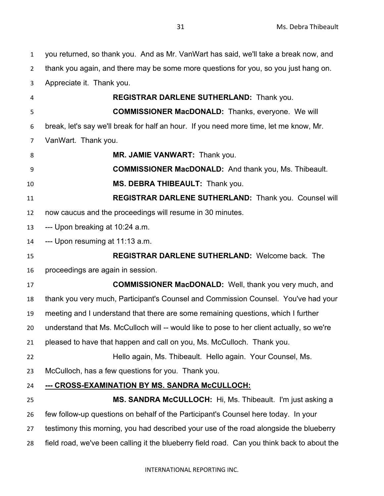you returned, so thank you. And as Mr. VanWart has said, we'll take a break now, and thank you again, and there may be some more questions for you, so you just hang on. Appreciate it. Thank you. **REGISTRAR DARLENE SUTHERLAND:** Thank you. **COMMISSIONER MacDONALD:** Thanks, everyone. We will break, let's say we'll break for half an hour. If you need more time, let me know, Mr. VanWart. Thank you. **MR. JAMIE VANWART:** Thank you. **COMMISSIONER MacDONALD:** And thank you, Ms. Thibeault. **MS. DEBRA THIBEAULT:** Thank you. **REGISTRAR DARLENE SUTHERLAND:** Thank you. Counsel will now caucus and the proceedings will resume in 30 minutes. --- Upon breaking at 10:24 a.m. --- Upon resuming at 11:13 a.m. **REGISTRAR DARLENE SUTHERLAND:** Welcome back. The proceedings are again in session. **COMMISSIONER MacDONALD:** Well, thank you very much, and thank you very much, Participant's Counsel and Commission Counsel. You've had your meeting and I understand that there are some remaining questions, which I further understand that Ms. McCulloch will -- would like to pose to her client actually, so we're pleased to have that happen and call on you, Ms. McCulloch. Thank you. Hello again, Ms. Thibeault. Hello again. Your Counsel, Ms. McCulloch, has a few questions for you. Thank you. **--- CROSS-EXAMINATION BY MS. SANDRA McCULLOCH: MS. SANDRA McCULLOCH:** Hi, Ms. Thibeault. I'm just asking a few follow-up questions on behalf of the Participant's Counsel here today. In your testimony this morning, you had described your use of the road alongside the blueberry field road, we've been calling it the blueberry field road. Can you think back to about the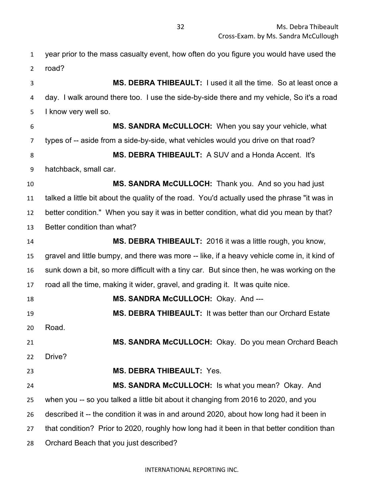year prior to the mass casualty event, how often do you figure you would have used the road? **MS. DEBRA THIBEAULT:** I used it all the time. So at least once a day. I walk around there too. I use the side-by-side there and my vehicle, So it's a road I know very well so. **MS. SANDRA McCULLOCH:** When you say your vehicle, what types of -- aside from a side-by-side, what vehicles would you drive on that road? **MS. DEBRA THIBEAULT:** A SUV and a Honda Accent. It's hatchback, small car. **MS. SANDRA McCULLOCH:** Thank you. And so you had just talked a little bit about the quality of the road. You'd actually used the phrase "it was in better condition." When you say it was in better condition, what did you mean by that? Better condition than what? **MS. DEBRA THIBEAULT:** 2016 it was a little rough, you know, gravel and little bumpy, and there was more -- like, if a heavy vehicle come in, it kind of sunk down a bit, so more difficult with a tiny car. But since then, he was working on the road all the time, making it wider, gravel, and grading it. It was quite nice. **MS. SANDRA McCULLOCH:** Okay. And --- **MS. DEBRA THIBEAULT:** It was better than our Orchard Estate Road. **MS. SANDRA McCULLOCH:** Okay. Do you mean Orchard Beach Drive? **MS. DEBRA THIBEAULT:** Yes. **MS. SANDRA McCULLOCH:** Is what you mean? Okay. And when you -- so you talked a little bit about it changing from 2016 to 2020, and you described it -- the condition it was in and around 2020, about how long had it been in that condition? Prior to 2020, roughly how long had it been in that better condition than Orchard Beach that you just described?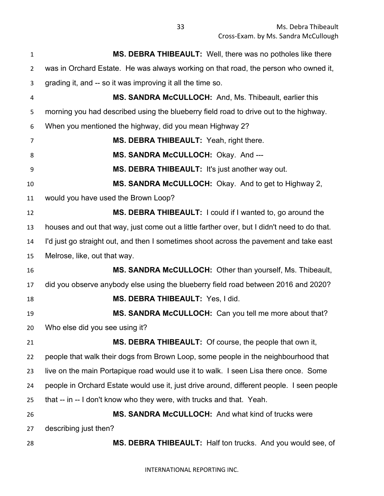**MS. DEBRA THIBEAULT:** Well, there was no potholes like there was in Orchard Estate. He was always working on that road, the person who owned it, grading it, and -- so it was improving it all the time so. **MS. SANDRA McCULLOCH:** And, Ms. Thibeault, earlier this morning you had described using the blueberry field road to drive out to the highway. When you mentioned the highway, did you mean Highway 2? **MS. DEBRA THIBEAULT:** Yeah, right there. **MS. SANDRA McCULLOCH:** Okay. And --- **MS. DEBRA THIBEAULT:** It's just another way out. **MS. SANDRA McCULLOCH:** Okay. And to get to Highway 2, would you have used the Brown Loop? **MS. DEBRA THIBEAULT:** I could if I wanted to, go around the houses and out that way, just come out a little farther over, but I didn't need to do that. I'd just go straight out, and then I sometimes shoot across the pavement and take east Melrose, like, out that way. **MS. SANDRA McCULLOCH:** Other than yourself, Ms. Thibeault, did you observe anybody else using the blueberry field road between 2016 and 2020? **MS. DEBRA THIBEAULT:** Yes, I did. **MS. SANDRA McCULLOCH:** Can you tell me more about that? Who else did you see using it? **MS. DEBRA THIBEAULT:** Of course, the people that own it, people that walk their dogs from Brown Loop, some people in the neighbourhood that live on the main Portapique road would use it to walk. I seen Lisa there once. Some people in Orchard Estate would use it, just drive around, different people. I seen people that -- in -- I don't know who they were, with trucks and that. Yeah. **MS. SANDRA McCULLOCH:** And what kind of trucks were describing just then? **MS. DEBRA THIBEAULT:** Half ton trucks. And you would see, of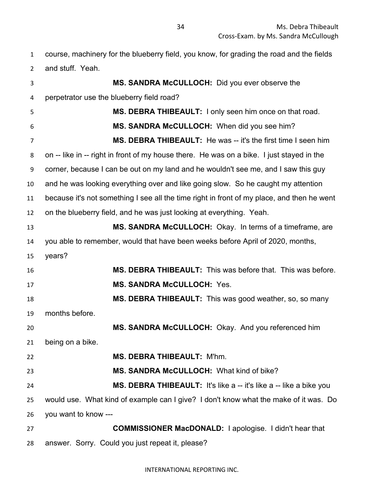course, machinery for the blueberry field, you know, for grading the road and the fields and stuff. Yeah.

 **MS. SANDRA McCULLOCH:** Did you ever observe the perpetrator use the blueberry field road? **MS. DEBRA THIBEAULT:** I only seen him once on that road. **MS. SANDRA McCULLOCH:** When did you see him? **MS. DEBRA THIBEAULT:** He was -- it's the first time I seen him on -- like in -- right in front of my house there. He was on a bike. I just stayed in the corner, because I can be out on my land and he wouldn't see me, and I saw this guy and he was looking everything over and like going slow. So he caught my attention because it's not something I see all the time right in front of my place, and then he went on the blueberry field, and he was just looking at everything. Yeah. **MS. SANDRA McCULLOCH:** Okay. In terms of a timeframe, are you able to remember, would that have been weeks before April of 2020, months, years? **MS. DEBRA THIBEAULT:** This was before that. This was before. **MS. SANDRA McCULLOCH:** Yes. **MS. DEBRA THIBEAULT:** This was good weather, so, so many months before. **MS. SANDRA McCULLOCH:** Okay. And you referenced him being on a bike. **MS. DEBRA THIBEAULT:** M'hm. **MS. SANDRA McCULLOCH:** What kind of bike? **MS. DEBRA THIBEAULT:** It's like a -- it's like a -- like a bike you would use. What kind of example can I give? I don't know what the make of it was. Do you want to know --- **COMMISSIONER MacDONALD:** I apologise. I didn't hear that answer. Sorry. Could you just repeat it, please?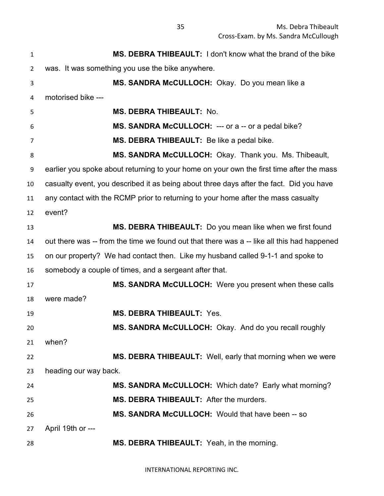| $\mathbf{1}$ | MS. DEBRA THIBEAULT: I don't know what the brand of the bike                               |
|--------------|--------------------------------------------------------------------------------------------|
| 2            | was. It was something you use the bike anywhere.                                           |
| 3            | MS. SANDRA McCULLOCH: Okay. Do you mean like a                                             |
| 4            | motorised bike ---                                                                         |
| 5            | <b>MS. DEBRA THIBEAULT: No.</b>                                                            |
| 6            | MS. SANDRA McCULLOCH: --- or a -- or a pedal bike?                                         |
| 7            | MS. DEBRA THIBEAULT: Be like a pedal bike.                                                 |
| 8            | MS. SANDRA McCULLOCH: Okay. Thank you. Ms. Thibeault,                                      |
| 9            | earlier you spoke about returning to your home on your own the first time after the mass   |
| 10           | casualty event, you described it as being about three days after the fact. Did you have    |
| 11           | any contact with the RCMP prior to returning to your home after the mass casualty          |
| 12           | event?                                                                                     |
| 13           | MS. DEBRA THIBEAULT: Do you mean like when we first found                                  |
| 14           | out there was -- from the time we found out that there was a -- like all this had happened |
| 15           | on our property? We had contact then. Like my husband called 9-1-1 and spoke to            |
| 16           | somebody a couple of times, and a sergeant after that.                                     |
| 17           | MS. SANDRA McCULLOCH: Were you present when these calls                                    |
| 18           | were made?                                                                                 |
| 19           | <b>MS. DEBRA THIBEAULT: Yes.</b>                                                           |
| 20           | MS. SANDRA McCULLOCH: Okay. And do you recall roughly                                      |
| 21           | when?                                                                                      |
| 22           | MS. DEBRA THIBEAULT: Well, early that morning when we were                                 |
| 23           | heading our way back.                                                                      |
| 24           | MS. SANDRA McCULLOCH: Which date? Early what morning?                                      |
| 25           | MS. DEBRA THIBEAULT: After the murders.                                                    |
| 26           | MS. SANDRA McCULLOCH: Would that have been -- so                                           |
| 27           | April 19th or ---                                                                          |
| 28           | MS. DEBRA THIBEAULT: Yeah, in the morning.                                                 |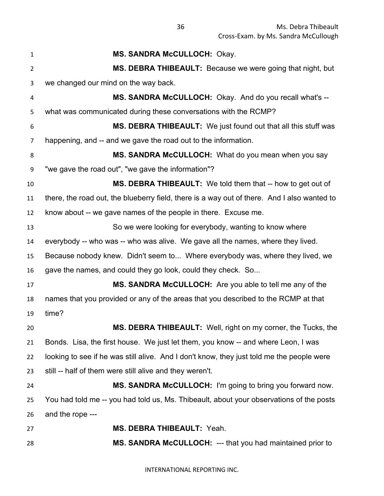**MS. SANDRA McCULLOCH:** Okay. **MS. DEBRA THIBEAULT:** Because we were going that night, but we changed our mind on the way back. **MS. SANDRA McCULLOCH:** Okay. And do you recall what's -- what was communicated during these conversations with the RCMP? **MS. DEBRA THIBEAULT:** We just found out that all this stuff was happening, and -- and we gave the road out to the information. **MS. SANDRA McCULLOCH:** What do you mean when you say "we gave the road out", "we gave the information"? **MS. DEBRA THIBEAULT:** We told them that -- how to get out of there, the road out, the blueberry field, there is a way out of there. And I also wanted to know about -- we gave names of the people in there. Excuse me. So we were looking for everybody, wanting to know where everybody -- who was -- who was alive. We gave all the names, where they lived. Because nobody knew. Didn't seem to... Where everybody was, where they lived, we gave the names, and could they go look, could they check. So... **MS. SANDRA McCULLOCH:** Are you able to tell me any of the names that you provided or any of the areas that you described to the RCMP at that time? **MS. DEBRA THIBEAULT:** Well, right on my corner, the Tucks, the Bonds. Lisa, the first house. We just let them, you know -- and where Leon, I was looking to see if he was still alive. And I don't know, they just told me the people were still -- half of them were still alive and they weren't. **MS. SANDRA McCULLOCH:** I'm going to bring you forward now. You had told me -- you had told us, Ms. Thibeault, about your observations of the posts and the rope --- **MS. DEBRA THIBEAULT:** Yeah. **MS. SANDRA McCULLOCH:** --- that you had maintained prior to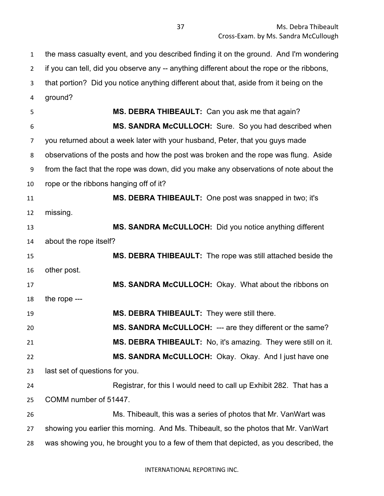the mass casualty event, and you described finding it on the ground. And I'm wondering if you can tell, did you observe any -- anything different about the rope or the ribbons, that portion? Did you notice anything different about that, aside from it being on the ground? **MS. DEBRA THIBEAULT:** Can you ask me that again? **MS. SANDRA McCULLOCH:** Sure. So you had described when you returned about a week later with your husband, Peter, that you guys made observations of the posts and how the post was broken and the rope was flung. Aside from the fact that the rope was down, did you make any observations of note about the rope or the ribbons hanging off of it? **MS. DEBRA THIBEAULT:** One post was snapped in two; it's missing. **MS. SANDRA McCULLOCH:** Did you notice anything different about the rope itself? **MS. DEBRA THIBEAULT:** The rope was still attached beside the other post. **MS. SANDRA McCULLOCH:** Okay. What about the ribbons on the rope --- **MS. DEBRA THIBEAULT:** They were still there. **MS. SANDRA McCULLOCH:** --- are they different or the same? **MS. DEBRA THIBEAULT:** No, it's amazing. They were still on it. **MS. SANDRA McCULLOCH:** Okay. Okay. And I just have one last set of questions for you. Registrar, for this I would need to call up Exhibit 282. That has a COMM number of 51447. Ms. Thibeault, this was a series of photos that Mr. VanWart was showing you earlier this morning. And Ms. Thibeault, so the photos that Mr. VanWart was showing you, he brought you to a few of them that depicted, as you described, the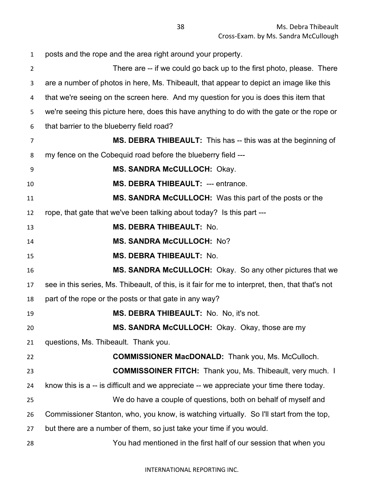posts and the rope and the area right around your property. There are -- if we could go back up to the first photo, please. There are a number of photos in here, Ms. Thibeault, that appear to depict an image like this that we're seeing on the screen here. And my question for you is does this item that we're seeing this picture here, does this have anything to do with the gate or the rope or that barrier to the blueberry field road? **MS. DEBRA THIBEAULT:** This has -- this was at the beginning of my fence on the Cobequid road before the blueberry field --- **MS. SANDRA McCULLOCH:** Okay. **MS. DEBRA THIBEAULT:** --- entrance. **MS. SANDRA McCULLOCH:** Was this part of the posts or the rope, that gate that we've been talking about today? Is this part --- **MS. DEBRA THIBEAULT:** No. **MS. SANDRA McCULLOCH:** No? **MS. DEBRA THIBEAULT:** No. **MS. SANDRA McCULLOCH:** Okay. So any other pictures that we see in this series, Ms. Thibeault, of this, is it fair for me to interpret, then, that that's not part of the rope or the posts or that gate in any way? **MS. DEBRA THIBEAULT:** No. No, it's not. **MS. SANDRA McCULLOCH:** Okay. Okay, those are my questions, Ms. Thibeault. Thank you. **COMMISSIONER MacDONALD:** Thank you, Ms. McCulloch. **COMMISSOINER FITCH:** Thank you, Ms. Thibeault, very much. I know this is a -- is difficult and we appreciate -- we appreciate your time there today. We do have a couple of questions, both on behalf of myself and Commissioner Stanton, who, you know, is watching virtually. So I'll start from the top, but there are a number of them, so just take your time if you would. You had mentioned in the first half of our session that when you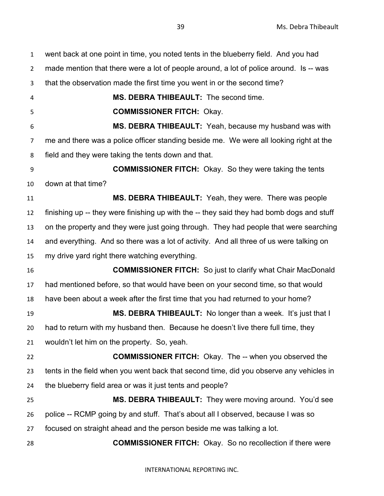went back at one point in time, you noted tents in the blueberry field. And you had made mention that there were a lot of people around, a lot of police around. Is -- was that the observation made the first time you went in or the second time? **MS. DEBRA THIBEAULT:** The second time. **COMMISSIONER FITCH:** Okay. **MS. DEBRA THIBEAULT:** Yeah, because my husband was with me and there was a police officer standing beside me. We were all looking right at the field and they were taking the tents down and that. **COMMISSIONER FITCH:** Okay. So they were taking the tents down at that time? **MS. DEBRA THIBEAULT:** Yeah, they were. There was people finishing up -- they were finishing up with the -- they said they had bomb dogs and stuff on the property and they were just going through. They had people that were searching and everything. And so there was a lot of activity. And all three of us were talking on my drive yard right there watching everything. **COMMISSIONER FITCH:** So just to clarify what Chair MacDonald had mentioned before, so that would have been on your second time, so that would have been about a week after the first time that you had returned to your home? **MS. DEBRA THIBEAULT:** No longer than a week. It's just that I had to return with my husband then. Because he doesn't live there full time, they wouldn't let him on the property. So, yeah. **COMMISSIONER FITCH:** Okay. The -- when you observed the tents in the field when you went back that second time, did you observe any vehicles in the blueberry field area or was it just tents and people? **MS. DEBRA THIBEAULT:** They were moving around. You'd see police -- RCMP going by and stuff. That's about all I observed, because I was so focused on straight ahead and the person beside me was talking a lot. **COMMISSIONER FITCH:** Okay. So no recollection if there were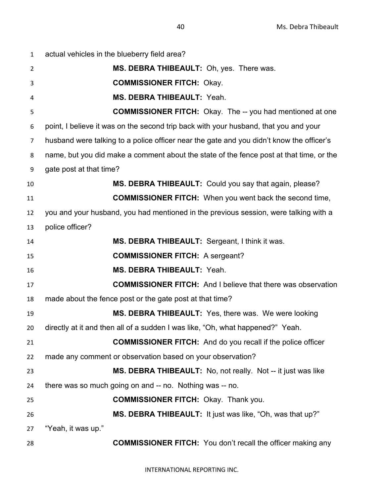| $\mathbf{1}$   | actual vehicles in the blueberry field area?                                             |
|----------------|------------------------------------------------------------------------------------------|
| $\overline{2}$ | MS. DEBRA THIBEAULT: Oh, yes. There was.                                                 |
| 3              | <b>COMMISSIONER FITCH: Okay.</b>                                                         |
| 4              | MS. DEBRA THIBEAULT: Yeah.                                                               |
| 5              | <b>COMMISSIONER FITCH:</b> Okay. The -- you had mentioned at one                         |
| 6              | point, I believe it was on the second trip back with your husband, that you and your     |
| $\overline{7}$ | husband were talking to a police officer near the gate and you didn't know the officer's |
| 8              | name, but you did make a comment about the state of the fence post at that time, or the  |
| 9              | gate post at that time?                                                                  |
| 10             | MS. DEBRA THIBEAULT: Could you say that again, please?                                   |
| 11             | <b>COMMISSIONER FITCH:</b> When you went back the second time,                           |
| 12             | you and your husband, you had mentioned in the previous session, were talking with a     |
| 13             | police officer?                                                                          |
| 14             | MS. DEBRA THIBEAULT: Sergeant, I think it was.                                           |
| 15             | <b>COMMISSIONER FITCH: A sergeant?</b>                                                   |
| 16             | MS. DEBRA THIBEAULT: Yeah.                                                               |
| 17             | <b>COMMISSIONER FITCH:</b> And I believe that there was observation                      |
| 18             | made about the fence post or the gate post at that time?                                 |
| 19             | MS. DEBRA THIBEAULT: Yes, there was. We were looking                                     |
| 20             | directly at it and then all of a sudden I was like, "Oh, what happened?" Yeah.           |
| 21             | <b>COMMISSIONER FITCH:</b> And do you recall if the police officer                       |
| 22             | made any comment or observation based on your observation?                               |
| 23             | MS. DEBRA THIBEAULT: No, not really. Not -- it just was like                             |
| 24             | there was so much going on and -- no. Nothing was -- no.                                 |
| 25             | <b>COMMISSIONER FITCH: Okay. Thank you.</b>                                              |
| 26             | MS. DEBRA THIBEAULT: It just was like, "Oh, was that up?"                                |
| 27             | "Yeah, it was up."                                                                       |
| 28             | <b>COMMISSIONER FITCH:</b> You don't recall the officer making any                       |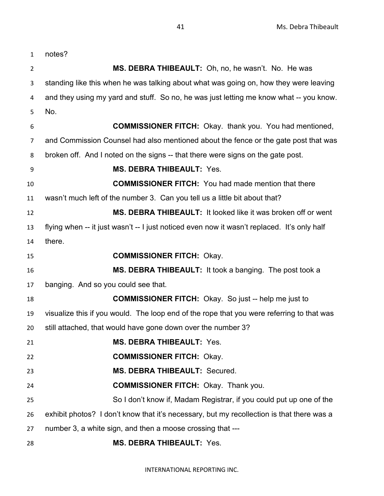| $\mathbf{1}$   | notes?                                                                                      |
|----------------|---------------------------------------------------------------------------------------------|
| $\overline{2}$ | MS. DEBRA THIBEAULT: Oh, no, he wasn't. No. He was                                          |
| 3              | standing like this when he was talking about what was going on, how they were leaving       |
| 4              | and they using my yard and stuff. So no, he was just letting me know what -- you know.      |
| 5              | No.                                                                                         |
| 6              | <b>COMMISSIONER FITCH:</b> Okay. thank you. You had mentioned,                              |
| 7              | and Commission Counsel had also mentioned about the fence or the gate post that was         |
| 8              | broken off. And I noted on the signs -- that there were signs on the gate post.             |
| 9              | <b>MS. DEBRA THIBEAULT: Yes.</b>                                                            |
| 10             | <b>COMMISSIONER FITCH:</b> You had made mention that there                                  |
| 11             | wasn't much left of the number 3. Can you tell us a little bit about that?                  |
| 12             | MS. DEBRA THIBEAULT: It looked like it was broken off or went                               |
| 13             | flying when -- it just wasn't -- I just noticed even now it wasn't replaced. It's only half |
| 14             | there.                                                                                      |
| 15             | <b>COMMISSIONER FITCH: Okay.</b>                                                            |
| 16             | MS. DEBRA THIBEAULT: It took a banging. The post took a                                     |
| 17             | banging. And so you could see that.                                                         |
| 18             | <b>COMMISSIONER FITCH:</b> Okay. So just -- help me just to                                 |
| 19             | visualize this if you would. The loop end of the rope that you were referring to that was   |
| 20             | still attached, that would have gone down over the number 3?                                |
| 21             | <b>MS. DEBRA THIBEAULT: Yes.</b>                                                            |
| 22             | <b>COMMISSIONER FITCH: Okay.</b>                                                            |
| 23             | MS. DEBRA THIBEAULT: Secured.                                                               |
| 24             | <b>COMMISSIONER FITCH: Okay. Thank you.</b>                                                 |
| 25             | So I don't know if, Madam Registrar, if you could put up one of the                         |
| 26             | exhibit photos? I don't know that it's necessary, but my recollection is that there was a   |
| 27             | number 3, a white sign, and then a moose crossing that ---                                  |
| 28             | <b>MS. DEBRA THIBEAULT: Yes.</b>                                                            |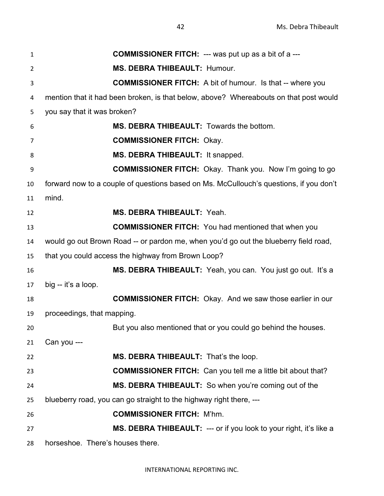**COMMISSIONER FITCH:** --- was put up as a bit of a --- **MS. DEBRA THIBEAULT:** Humour. **COMMISSIONER FITCH:** A bit of humour. Is that -- where you mention that it had been broken, is that below, above? Whereabouts on that post would you say that it was broken? **MS. DEBRA THIBEAULT:** Towards the bottom. **COMMISSIONER FITCH:** Okay. **MS. DEBRA THIBEAULT:** It snapped. **COMMISSIONER FITCH:** Okay. Thank you. Now I'm going to go forward now to a couple of questions based on Ms. McCullouch's questions, if you don't mind. **MS. DEBRA THIBEAULT:** Yeah. **COMMISSIONER FITCH:** You had mentioned that when you would go out Brown Road -- or pardon me, when you'd go out the blueberry field road, that you could access the highway from Brown Loop? **MS. DEBRA THIBEAULT:** Yeah, you can. You just go out. It's a big -- it's a loop. **COMMISSIONER FITCH:** Okay. And we saw those earlier in our proceedings, that mapping. But you also mentioned that or you could go behind the houses. Can you --- **MS. DEBRA THIBEAULT:** That's the loop. **COMMISSIONER FITCH:** Can you tell me a little bit about that? **MS. DEBRA THIBEAULT:** So when you're coming out of the blueberry road, you can go straight to the highway right there, --- **COMMISSIONER FITCH:** M'hm. **MS. DEBRA THIBEAULT:** --- or if you look to your right, it's like a horseshoe. There's houses there.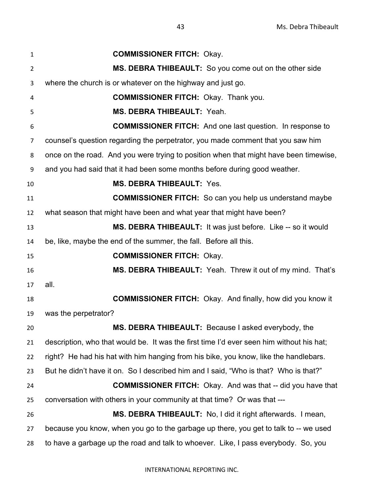**COMMISSIONER FITCH:** Okay. **MS. DEBRA THIBEAULT:** So you come out on the other side where the church is or whatever on the highway and just go. **COMMISSIONER FITCH:** Okay. Thank you. **MS. DEBRA THIBEAULT:** Yeah. **COMMISSIONER FITCH:** And one last question. In response to counsel's question regarding the perpetrator, you made comment that you saw him once on the road. And you were trying to position when that might have been timewise, and you had said that it had been some months before during good weather. **MS. DEBRA THIBEAULT:** Yes. **COMMISSIONER FITCH:** So can you help us understand maybe what season that might have been and what year that might have been? **MS. DEBRA THIBEAULT:** It was just before. Like -- so it would be, like, maybe the end of the summer, the fall. Before all this. **COMMISSIONER FITCH:** Okay. **MS. DEBRA THIBEAULT:** Yeah. Threw it out of my mind. That's all. **COMMISSIONER FITCH:** Okay. And finally, how did you know it was the perpetrator? **MS. DEBRA THIBEAULT:** Because I asked everybody, the description, who that would be. It was the first time I'd ever seen him without his hat; right? He had his hat with him hanging from his bike, you know, like the handlebars. But he didn't have it on. So I described him and I said, "Who is that? Who is that?" **COMMISSIONER FITCH:** Okay. And was that -- did you have that conversation with others in your community at that time? Or was that --- **MS. DEBRA THIBEAULT:** No, I did it right afterwards. I mean, because you know, when you go to the garbage up there, you get to talk to -- we used to have a garbage up the road and talk to whoever. Like, I pass everybody. So, you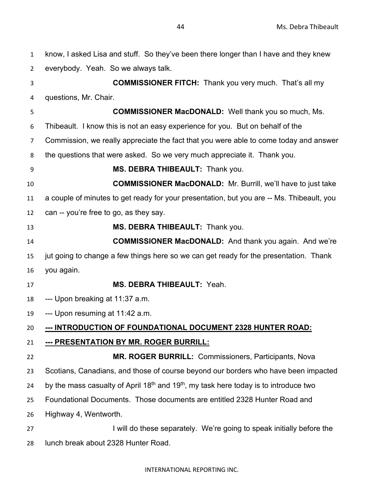| $\mathbf{1}$   | know, I asked Lisa and stuff. So they've been there longer than I have and they knew                         |
|----------------|--------------------------------------------------------------------------------------------------------------|
| $\overline{2}$ | everybody. Yeah. So we always talk.                                                                          |
| 3              | <b>COMMISSIONER FITCH:</b> Thank you very much. That's all my                                                |
| 4              | questions, Mr. Chair.                                                                                        |
| 5              | <b>COMMISSIONER MacDONALD:</b> Well thank you so much, Ms.                                                   |
| 6              | Thibeault. I know this is not an easy experience for you. But on behalf of the                               |
| 7              | Commission, we really appreciate the fact that you were able to come today and answer                        |
| 8              | the questions that were asked. So we very much appreciate it. Thank you.                                     |
| 9              | MS. DEBRA THIBEAULT: Thank you.                                                                              |
| 10             | <b>COMMISSIONER MacDONALD:</b> Mr. Burrill, we'll have to just take                                          |
| 11             | a couple of minutes to get ready for your presentation, but you are -- Ms. Thibeault, you                    |
| 12             | can -- you're free to go, as they say.                                                                       |
| 13             | MS. DEBRA THIBEAULT: Thank you.                                                                              |
| 14             | <b>COMMISSIONER MacDONALD:</b> And thank you again. And we're                                                |
| 15             | jut going to change a few things here so we can get ready for the presentation. Thank                        |
| 16             | you again.                                                                                                   |
| 17             | <b>MS. DEBRA THIBEAULT: Yeah.</b>                                                                            |
| 18             | --- Upon breaking at 11:37 a.m.                                                                              |
| 19             | --- Upon resuming at 11:42 a.m.                                                                              |
| 20             | --- INTRODUCTION OF FOUNDATIONAL DOCUMENT 2328 HUNTER ROAD:                                                  |
| 21             | <u>--- PRESENTATION BY MR. ROGER BURRILL:</u>                                                                |
| 22             | MR. ROGER BURRILL: Commissioners, Participants, Nova                                                         |
| 23             | Scotians, Canadians, and those of course beyond our borders who have been impacted                           |
| 24             | by the mass casualty of April 18 <sup>th</sup> and 19 <sup>th</sup> , my task here today is to introduce two |
| 25             | Foundational Documents. Those documents are entitled 2328 Hunter Road and                                    |
| 26             | Highway 4, Wentworth.                                                                                        |
| 27             | I will do these separately. We're going to speak initially before the                                        |
|                |                                                                                                              |

lunch break about 2328 Hunter Road.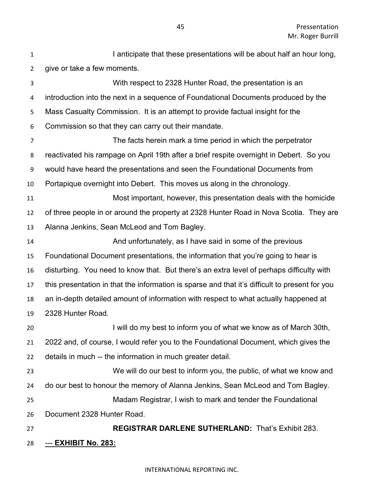| $\mathbf{1}$   | I anticipate that these presentations will be about half an hour long,                         |
|----------------|------------------------------------------------------------------------------------------------|
| $\overline{2}$ | give or take a few moments.                                                                    |
| 3              | With respect to 2328 Hunter Road, the presentation is an                                       |
| 4              | introduction into the next in a sequence of Foundational Documents produced by the             |
| 5              | Mass Casualty Commission. It is an attempt to provide factual insight for the                  |
| 6              | Commission so that they can carry out their mandate.                                           |
| $\overline{7}$ | The facts herein mark a time period in which the perpetrator                                   |
| 8              | reactivated his rampage on April 19th after a brief respite overnight in Debert. So you        |
| 9              | would have heard the presentations and seen the Foundational Documents from                    |
| 10             | Portapique overnight into Debert. This moves us along in the chronology.                       |
| 11             | Most important, however, this presentation deals with the homicide                             |
| 12             | of three people in or around the property at 2328 Hunter Road in Nova Scotia. They are         |
| 13             | Alanna Jenkins, Sean McLeod and Tom Bagley.                                                    |
| 14             | And unfortunately, as I have said in some of the previous                                      |
| 15             | Foundational Document presentations, the information that you're going to hear is              |
| 16             | disturbing. You need to know that. But there's an extra level of perhaps difficulty with       |
| 17             | this presentation in that the information is sparse and that it's difficult to present for you |
| 18             | an in-depth detailed amount of information with respect to what actually happened at           |
| 19             | 2328 Hunter Road.                                                                              |
| 20             | I will do my best to inform you of what we know as of March 30th,                              |
| 21             | 2022 and, of course, I would refer you to the Foundational Document, which gives the           |
| 22             | details in much -- the information in much greater detail.                                     |
| 23             | We will do our best to inform you, the public, of what we know and                             |
| 24             | do our best to honour the memory of Alanna Jenkins, Sean McLeod and Tom Bagley.                |
| 25             | Madam Registrar, I wish to mark and tender the Foundational                                    |
| 26             | Document 2328 Hunter Road.                                                                     |
| 27             | <b>REGISTRAR DARLENE SUTHERLAND: That's Exhibit 283.</b>                                       |
| 28             | <u>--- EXHIBIT No. 283:</u>                                                                    |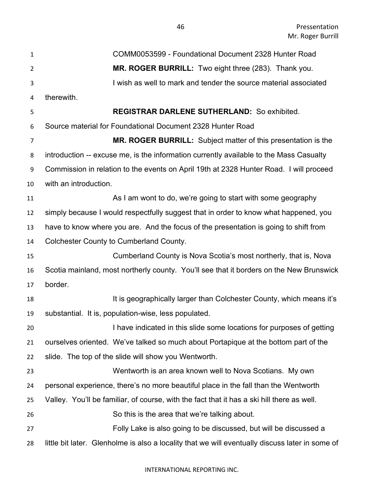| $\mathbf{1}$   | COMM0053599 - Foundational Document 2328 Hunter Road                                            |
|----------------|-------------------------------------------------------------------------------------------------|
| $\overline{2}$ | MR. ROGER BURRILL: Two eight three (283). Thank you.                                            |
| 3              | I wish as well to mark and tender the source material associated                                |
| 4              | therewith.                                                                                      |
| 5              | <b>REGISTRAR DARLENE SUTHERLAND: So exhibited.</b>                                              |
| 6              | Source material for Foundational Document 2328 Hunter Road                                      |
| $\overline{7}$ | MR. ROGER BURRILL: Subject matter of this presentation is the                                   |
| 8              | introduction -- excuse me, is the information currently available to the Mass Casualty          |
| 9              | Commission in relation to the events on April 19th at 2328 Hunter Road. I will proceed          |
| 10             | with an introduction.                                                                           |
| 11             | As I am wont to do, we're going to start with some geography                                    |
| 12             | simply because I would respectfully suggest that in order to know what happened, you            |
| 13             | have to know where you are. And the focus of the presentation is going to shift from            |
| 14             | <b>Colchester County to Cumberland County.</b>                                                  |
| 15             | Cumberland County is Nova Scotia's most northerly, that is, Nova                                |
| 16             | Scotia mainland, most northerly county. You'll see that it borders on the New Brunswick         |
| 17             | border.                                                                                         |
| 18             | It is geographically larger than Colchester County, which means it's                            |
| 19             | substantial. It is, population-wise, less populated.                                            |
| 20             | I have indicated in this slide some locations for purposes of getting                           |
| 21             | ourselves oriented. We've talked so much about Portapique at the bottom part of the             |
| 22             | slide. The top of the slide will show you Wentworth.                                            |
| 23             | Wentworth is an area known well to Nova Scotians. My own                                        |
| 24             | personal experience, there's no more beautiful place in the fall than the Wentworth             |
| 25             | Valley. You'll be familiar, of course, with the fact that it has a ski hill there as well.      |
| 26             | So this is the area that we're talking about.                                                   |
| 27             | Folly Lake is also going to be discussed, but will be discussed a                               |
| 28             | little bit later. Glenholme is also a locality that we will eventually discuss later in some of |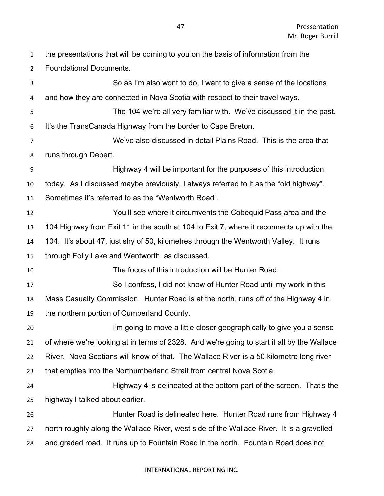| $\mathbf{1}$     | the presentations that will be coming to you on the basis of information from the          |
|------------------|--------------------------------------------------------------------------------------------|
| $\overline{2}$   | <b>Foundational Documents.</b>                                                             |
| 3                | So as I'm also wont to do, I want to give a sense of the locations                         |
| 4                | and how they are connected in Nova Scotia with respect to their travel ways.               |
| 5                | The 104 we're all very familiar with. We've discussed it in the past.                      |
| 6                | It's the TransCanada Highway from the border to Cape Breton.                               |
| $\overline{7}$   | We've also discussed in detail Plains Road. This is the area that                          |
| 8                | runs through Debert.                                                                       |
| $\boldsymbol{9}$ | Highway 4 will be important for the purposes of this introduction                          |
| 10               | today. As I discussed maybe previously, I always referred to it as the "old highway".      |
| 11               | Sometimes it's referred to as the "Wentworth Road".                                        |
| 12               | You'll see where it circumvents the Cobequid Pass area and the                             |
| 13               | 104 Highway from Exit 11 in the south at 104 to Exit 7, where it reconnects up with the    |
| 14               | 104. It's about 47, just shy of 50, kilometres through the Wentworth Valley. It runs       |
| 15               | through Folly Lake and Wentworth, as discussed.                                            |
| 16               | The focus of this introduction will be Hunter Road.                                        |
| 17               | So I confess, I did not know of Hunter Road until my work in this                          |
| 18               | Mass Casualty Commission. Hunter Road is at the north, runs off of the Highway 4 in        |
| 19               | the northern portion of Cumberland County.                                                 |
| 20               | I'm going to move a little closer geographically to give you a sense                       |
| 21               | of where we're looking at in terms of 2328. And we're going to start it all by the Wallace |
| 22               | River. Nova Scotians will know of that. The Wallace River is a 50-kilometre long river     |
| 23               | that empties into the Northumberland Strait from central Nova Scotia.                      |
| 24               | Highway 4 is delineated at the bottom part of the screen. That's the                       |
| 25               | highway I talked about earlier.                                                            |
| 26               | Hunter Road is delineated here. Hunter Road runs from Highway 4                            |
| 27               | north roughly along the Wallace River, west side of the Wallace River. It is a gravelled   |
| 28               | and graded road. It runs up to Fountain Road in the north. Fountain Road does not          |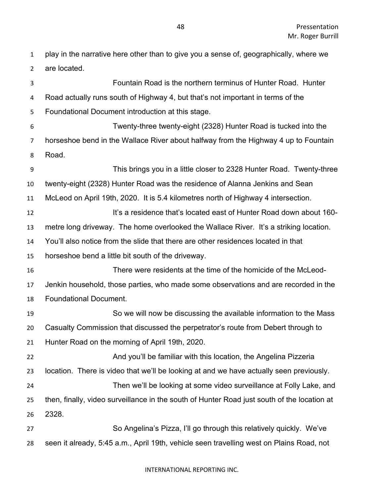play in the narrative here other than to give you a sense of, geographically, where we are located.

 Fountain Road is the northern terminus of Hunter Road. Hunter Road actually runs south of Highway 4, but that's not important in terms of the Foundational Document introduction at this stage. Twenty-three twenty-eight (2328) Hunter Road is tucked into the horseshoe bend in the Wallace River about halfway from the Highway 4 up to Fountain Road. This brings you in a little closer to 2328 Hunter Road. Twenty-three twenty-eight (2328) Hunter Road was the residence of Alanna Jenkins and Sean McLeod on April 19th, 2020. It is 5.4 kilometres north of Highway 4 intersection. It's a residence that's located east of Hunter Road down about 160- metre long driveway. The home overlooked the Wallace River. It's a striking location. You'll also notice from the slide that there are other residences located in that horseshoe bend a little bit south of the driveway. There were residents at the time of the homicide of the McLeod- Jenkin household, those parties, who made some observations and are recorded in the Foundational Document. So we will now be discussing the available information to the Mass Casualty Commission that discussed the perpetrator's route from Debert through to Hunter Road on the morning of April 19th, 2020. And you'll be familiar with this location, the Angelina Pizzeria location. There is video that we'll be looking at and we have actually seen previously. Then we'll be looking at some video surveillance at Folly Lake, and then, finally, video surveillance in the south of Hunter Road just south of the location at 2328. So Angelina's Pizza, I'll go through this relatively quickly. We've seen it already, 5:45 a.m., April 19th, vehicle seen travelling west on Plains Road, not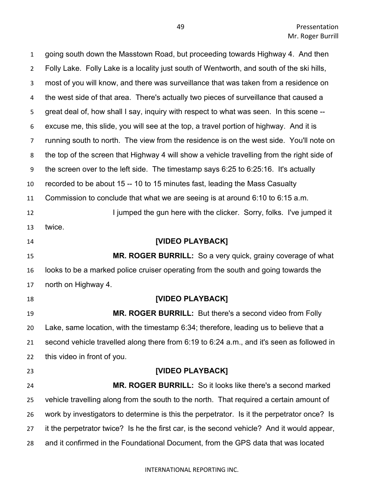| $\mathbf{1}$   | going south down the Masstown Road, but proceeding towards Highway 4. And then             |
|----------------|--------------------------------------------------------------------------------------------|
| $\overline{2}$ | Folly Lake. Folly Lake is a locality just south of Wentworth, and south of the ski hills,  |
| 3              | most of you will know, and there was surveillance that was taken from a residence on       |
| 4              | the west side of that area. There's actually two pieces of surveillance that caused a      |
| 5              | great deal of, how shall I say, inquiry with respect to what was seen. In this scene --    |
| 6              | excuse me, this slide, you will see at the top, a travel portion of highway. And it is     |
| $\overline{7}$ | running south to north. The view from the residence is on the west side. You'll note on    |
| 8              | the top of the screen that Highway 4 will show a vehicle travelling from the right side of |
| 9              | the screen over to the left side. The timestamp says 6:25 to 6:25:16. It's actually        |
| 10             | recorded to be about 15 -- 10 to 15 minutes fast, leading the Mass Casualty                |
| 11             | Commission to conclude that what we are seeing is at around 6:10 to 6:15 a.m.              |
| 12             | I jumped the gun here with the clicker. Sorry, folks. I've jumped it                       |
| 13             | twice.                                                                                     |
| 14             | [VIDEO PLAYBACK]                                                                           |
|                |                                                                                            |
| 15             | MR. ROGER BURRILL: So a very quick, grainy coverage of what                                |
| 16             | looks to be a marked police cruiser operating from the south and going towards the         |
| 17             | north on Highway 4.                                                                        |
| 18             | [VIDEO PLAYBACK]                                                                           |
| 19             | MR. ROGER BURRILL: But there's a second video from Folly                                   |
| 20             | Lake, same location, with the timestamp 6:34; therefore, leading us to believe that a      |
| 21             | second vehicle travelled along there from 6:19 to 6:24 a.m., and it's seen as followed in  |
| 22             | this video in front of you.                                                                |
| 23             | [VIDEO PLAYBACK]                                                                           |
| 24             | MR. ROGER BURRILL: So it looks like there's a second marked                                |
| 25             | vehicle travelling along from the south to the north. That required a certain amount of    |
| 26             | work by investigators to determine is this the perpetrator. Is it the perpetrator once? Is |
| 27             | it the perpetrator twice? Is he the first car, is the second vehicle? And it would appear, |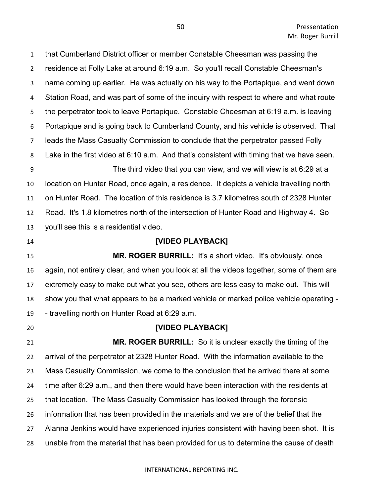that Cumberland District officer or member Constable Cheesman was passing the residence at Folly Lake at around 6:19 a.m. So you'll recall Constable Cheesman's name coming up earlier. He was actually on his way to the Portapique, and went down Station Road, and was part of some of the inquiry with respect to where and what route the perpetrator took to leave Portapique. Constable Cheesman at 6:19 a.m. is leaving Portapique and is going back to Cumberland County, and his vehicle is observed. That leads the Mass Casualty Commission to conclude that the perpetrator passed Folly Lake in the first video at 6:10 a.m. And that's consistent with timing that we have seen. The third video that you can view, and we will view is at 6:29 at a location on Hunter Road, once again, a residence. It depicts a vehicle travelling north on Hunter Road. The location of this residence is 3.7 kilometres south of 2328 Hunter Road. It's 1.8 kilometres north of the intersection of Hunter Road and Highway 4. So you'll see this is a residential video. **[VIDEO PLAYBACK] MR. ROGER BURRILL:** It's a short video. It's obviously, once again, not entirely clear, and when you look at all the videos together, some of them are extremely easy to make out what you see, others are less easy to make out. This will show you that what appears to be a marked vehicle or marked police vehicle operating - - travelling north on Hunter Road at 6:29 a.m. **[VIDEO PLAYBACK] MR. ROGER BURRILL:** So it is unclear exactly the timing of the arrival of the perpetrator at 2328 Hunter Road. With the information available to the Mass Casualty Commission, we come to the conclusion that he arrived there at some time after 6:29 a.m., and then there would have been interaction with the residents at that location. The Mass Casualty Commission has looked through the forensic information that has been provided in the materials and we are of the belief that the Alanna Jenkins would have experienced injuries consistent with having been shot. It is unable from the material that has been provided for us to determine the cause of death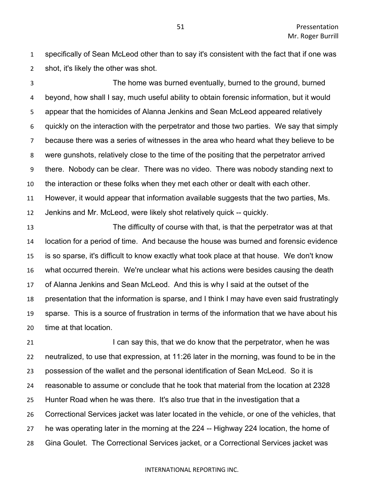specifically of Sean McLeod other than to say it's consistent with the fact that if one was shot, it's likely the other was shot.

 The home was burned eventually, burned to the ground, burned beyond, how shall I say, much useful ability to obtain forensic information, but it would appear that the homicides of Alanna Jenkins and Sean McLeod appeared relatively quickly on the interaction with the perpetrator and those two parties. We say that simply because there was a series of witnesses in the area who heard what they believe to be were gunshots, relatively close to the time of the positing that the perpetrator arrived there. Nobody can be clear. There was no video. There was nobody standing next to the interaction or these folks when they met each other or dealt with each other. However, it would appear that information available suggests that the two parties, Ms. Jenkins and Mr. McLeod, were likely shot relatively quick -- quickly.

 The difficulty of course with that, is that the perpetrator was at that location for a period of time. And because the house was burned and forensic evidence is so sparse, it's difficult to know exactly what took place at that house. We don't know what occurred therein. We're unclear what his actions were besides causing the death of Alanna Jenkins and Sean McLeod. And this is why I said at the outset of the presentation that the information is sparse, and I think I may have even said frustratingly sparse. This is a source of frustration in terms of the information that we have about his time at that location.

**I can say this, that we do know that the perpetrator, when he was**  neutralized, to use that expression, at 11:26 later in the morning, was found to be in the possession of the wallet and the personal identification of Sean McLeod. So it is reasonable to assume or conclude that he took that material from the location at 2328 Hunter Road when he was there. It's also true that in the investigation that a Correctional Services jacket was later located in the vehicle, or one of the vehicles, that he was operating later in the morning at the 224 -- Highway 224 location, the home of Gina Goulet. The Correctional Services jacket, or a Correctional Services jacket was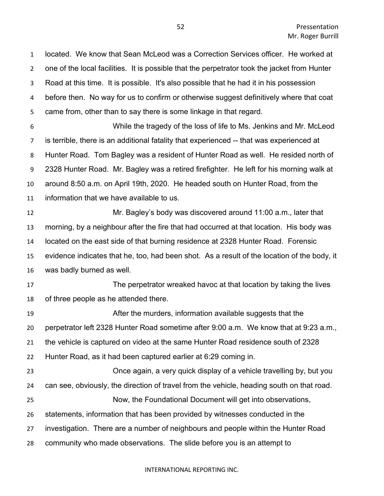located. We know that Sean McLeod was a Correction Services officer. He worked at one of the local facilities. It is possible that the perpetrator took the jacket from Hunter Road at this time. It is possible. It's also possible that he had it in his possession before then. No way for us to confirm or otherwise suggest definitively where that coat came from, other than to say there is some linkage in that regard. While the tragedy of the loss of life to Ms. Jenkins and Mr. McLeod is terrible, there is an additional fatality that experienced -- that was experienced at Hunter Road. Tom Bagley was a resident of Hunter Road as well. He resided north of 2328 Hunter Road. Mr. Bagley was a retired firefighter. He left for his morning walk at around 8:50 a.m. on April 19th, 2020. He headed south on Hunter Road, from the information that we have available to us. Mr. Bagley's body was discovered around 11:00 a.m., later that morning, by a neighbour after the fire that had occurred at that location. His body was located on the east side of that burning residence at 2328 Hunter Road. Forensic evidence indicates that he, too, had been shot. As a result of the location of the body, it was badly burned as well. The perpetrator wreaked havoc at that location by taking the lives of three people as he attended there. After the murders, information available suggests that the perpetrator left 2328 Hunter Road sometime after 9:00 a.m. We know that at 9:23 a.m., the vehicle is captured on video at the same Hunter Road residence south of 2328 Hunter Road, as it had been captured earlier at 6:29 coming in. Once again, a very quick display of a vehicle travelling by, but you can see, obviously, the direction of travel from the vehicle, heading south on that road. Now, the Foundational Document will get into observations, statements, information that has been provided by witnesses conducted in the investigation. There are a number of neighbours and people within the Hunter Road community who made observations. The slide before you is an attempt to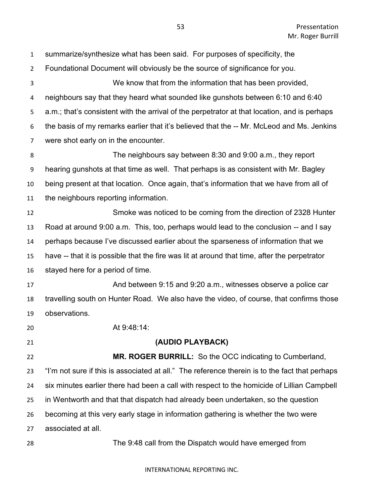| $\mathbf{1}$   | summarize/synthesize what has been said. For purposes of specificity, the                      |
|----------------|------------------------------------------------------------------------------------------------|
| $\overline{2}$ | Foundational Document will obviously be the source of significance for you.                    |
| 3              | We know that from the information that has been provided,                                      |
| 4              | neighbours say that they heard what sounded like gunshots between 6:10 and 6:40                |
| 5              | a.m.; that's consistent with the arrival of the perpetrator at that location, and is perhaps   |
| 6              | the basis of my remarks earlier that it's believed that the -- Mr. McLeod and Ms. Jenkins      |
| 7              | were shot early on in the encounter.                                                           |
| 8              | The neighbours say between 8:30 and 9:00 a.m., they report                                     |
| 9              | hearing gunshots at that time as well. That perhaps is as consistent with Mr. Bagley           |
| 10             | being present at that location. Once again, that's information that we have from all of        |
| 11             | the neighbours reporting information.                                                          |
| 12             | Smoke was noticed to be coming from the direction of 2328 Hunter                               |
| 13             | Road at around 9:00 a.m. This, too, perhaps would lead to the conclusion -- and I say          |
| 14             | perhaps because I've discussed earlier about the sparseness of information that we             |
| 15             | have -- that it is possible that the fire was lit at around that time, after the perpetrator   |
| 16             | stayed here for a period of time.                                                              |
| 17             | And between 9:15 and 9:20 a.m., witnesses observe a police car                                 |
| 18             | travelling south on Hunter Road. We also have the video, of course, that confirms those        |
| 19             | observations.                                                                                  |
| 20             | At 9:48:14:                                                                                    |
| 21             | (AUDIO PLAYBACK)                                                                               |
| 22             | MR. ROGER BURRILL: So the OCC indicating to Cumberland,                                        |
| 23             | "I'm not sure if this is associated at all." The reference therein is to the fact that perhaps |
| 24             | six minutes earlier there had been a call with respect to the homicide of Lillian Campbell     |
| 25             | in Wentworth and that that dispatch had already been undertaken, so the question               |
| 26             | becoming at this very early stage in information gathering is whether the two were             |
| 27             | associated at all.                                                                             |
| 28             | The 9:48 call from the Dispatch would have emerged from                                        |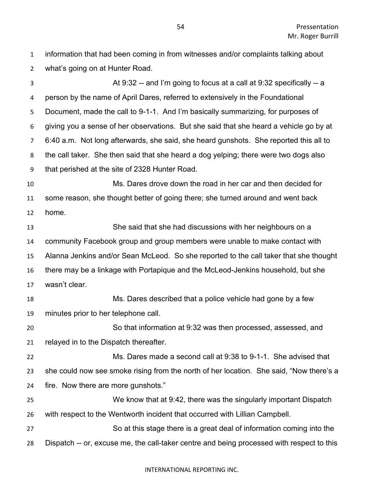| $\mathbf{1}$     | information that had been coming in from witnesses and/or complaints talking about        |
|------------------|-------------------------------------------------------------------------------------------|
| $\overline{2}$   | what's going on at Hunter Road.                                                           |
| 3                | At $9:32$ -- and I'm going to focus at a call at $9:32$ specifically -- a                 |
| 4                | person by the name of April Dares, referred to extensively in the Foundational            |
| 5                | Document, made the call to 9-1-1. And I'm basically summarizing, for purposes of          |
| 6                | giving you a sense of her observations. But she said that she heard a vehicle go by at    |
| $\overline{7}$   | 6:40 a.m. Not long afterwards, she said, she heard gunshots. She reported this all to     |
| 8                | the call taker. She then said that she heard a dog yelping; there were two dogs also      |
| $\boldsymbol{9}$ | that perished at the site of 2328 Hunter Road.                                            |
| 10               | Ms. Dares drove down the road in her car and then decided for                             |
| 11               | some reason, she thought better of going there; she turned around and went back           |
| 12               | home.                                                                                     |
| 13               | She said that she had discussions with her neighbours on a                                |
| 14               | community Facebook group and group members were unable to make contact with               |
| 15               | Alanna Jenkins and/or Sean McLeod. So she reported to the call taker that she thought     |
| 16               | there may be a linkage with Portapique and the McLeod-Jenkins household, but she          |
| 17               | wasn't clear.                                                                             |
| 18               | Ms. Dares described that a police vehicle had gone by a few                               |
| 19               | minutes prior to her telephone call.                                                      |
| 20               | So that information at 9:32 was then processed, assessed, and                             |
| 21               | relayed in to the Dispatch thereafter.                                                    |
| 22               | Ms. Dares made a second call at 9:38 to 9-1-1. She advised that                           |
| 23               | she could now see smoke rising from the north of her location. She said, "Now there's a   |
| 24               | fire. Now there are more gunshots."                                                       |
| 25               | We know that at 9:42, there was the singularly important Dispatch                         |
| 26               | with respect to the Wentworth incident that occurred with Lillian Campbell.               |
| 27               | So at this stage there is a great deal of information coming into the                     |
| 28               | Dispatch -- or, excuse me, the call-taker centre and being processed with respect to this |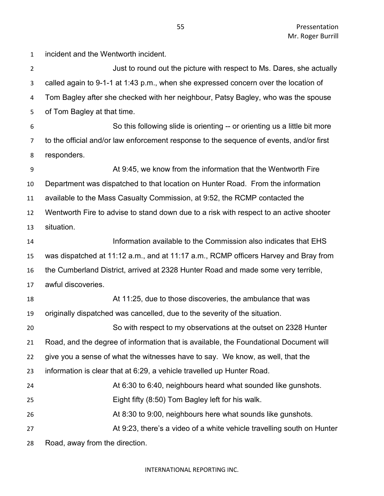incident and the Wentworth incident. *Just to round out the picture with respect to Ms. Dares, she actually*  called again to 9-1-1 at 1:43 p.m., when she expressed concern over the location of Tom Bagley after she checked with her neighbour, Patsy Bagley, who was the spouse of Tom Bagley at that time. So this following slide is orienting -- or orienting us a little bit more to the official and/or law enforcement response to the sequence of events, and/or first responders. At 9:45, we know from the information that the Wentworth Fire Department was dispatched to that location on Hunter Road. From the information available to the Mass Casualty Commission, at 9:52, the RCMP contacted the Wentworth Fire to advise to stand down due to a risk with respect to an active shooter situation. Information available to the Commission also indicates that EHS was dispatched at 11:12 a.m., and at 11:17 a.m., RCMP officers Harvey and Bray from the Cumberland District, arrived at 2328 Hunter Road and made some very terrible, awful discoveries. At 11:25, due to those discoveries, the ambulance that was originally dispatched was cancelled, due to the severity of the situation. So with respect to my observations at the outset on 2328 Hunter Road, and the degree of information that is available, the Foundational Document will give you a sense of what the witnesses have to say. We know, as well, that the information is clear that at 6:29, a vehicle travelled up Hunter Road. At 6:30 to 6:40, neighbours heard what sounded like gunshots. Eight fifty (8:50) Tom Bagley left for his walk. At 8:30 to 9:00, neighbours here what sounds like gunshots. **At 9:23, there's a video of a white vehicle travelling south on Hunter** Road, away from the direction.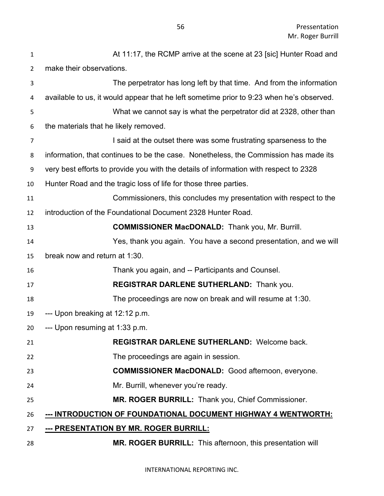| 1              | At 11:17, the RCMP arrive at the scene at 23 [sic] Hunter Road and                       |
|----------------|------------------------------------------------------------------------------------------|
| $\overline{2}$ | make their observations.                                                                 |
| 3              | The perpetrator has long left by that time. And from the information                     |
| 4              | available to us, it would appear that he left sometime prior to 9:23 when he's observed. |
| 5              | What we cannot say is what the perpetrator did at 2328, other than                       |
| 6              | the materials that he likely removed.                                                    |
| $\overline{7}$ | I said at the outset there was some frustrating sparseness to the                        |
| 8              | information, that continues to be the case. Nonetheless, the Commission has made its     |
| 9              | very best efforts to provide you with the details of information with respect to 2328    |
| 10             | Hunter Road and the tragic loss of life for those three parties.                         |
| 11             | Commissioners, this concludes my presentation with respect to the                        |
| 12             | introduction of the Foundational Document 2328 Hunter Road.                              |
| 13             | <b>COMMISSIONER MacDONALD:</b> Thank you, Mr. Burrill.                                   |
| 14             | Yes, thank you again. You have a second presentation, and we will                        |
| 15             | break now and return at 1:30.                                                            |
| 16             | Thank you again, and -- Participants and Counsel.                                        |
| 17             | REGISTRAR DARLENE SUTHERLAND: Thank you.                                                 |
| 18             | The proceedings are now on break and will resume at 1:30.                                |
| 19             | --- Upon breaking at 12:12 p.m.                                                          |
| 20             | --- Upon resuming at 1:33 p.m.                                                           |
| 21             | <b>REGISTRAR DARLENE SUTHERLAND: Welcome back.</b>                                       |
| 22             | The proceedings are again in session.                                                    |
| 23             | <b>COMMISSIONER MacDONALD:</b> Good afternoon, everyone.                                 |
| 24             | Mr. Burrill, whenever you're ready.                                                      |
| 25             | MR. ROGER BURRILL: Thank you, Chief Commissioner.                                        |
| 26             | --- INTRODUCTION OF FOUNDATIONAL DOCUMENT HIGHWAY 4 WENTWORTH:                           |
| 27             | --- PRESENTATION BY MR. ROGER BURRILL:                                                   |
| 28             | MR. ROGER BURRILL: This afternoon, this presentation will                                |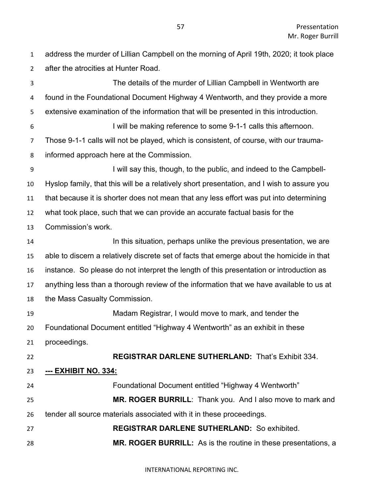address the murder of Lillian Campbell on the morning of April 19th, 2020; it took place after the atrocities at Hunter Road.

The details of the murder of Lillian Campbell in Wentworth are found in the Foundational Document Highway 4 Wentworth, and they provide a more extensive examination of the information that will be presented in this introduction. I will be making reference to some 9-1-1 calls this afternoon. Those 9-1-1 calls will not be played, which is consistent, of course, with our trauma-informed approach here at the Commission. I will say this, though, to the public, and indeed to the Campbell- Hyslop family, that this will be a relatively short presentation, and I wish to assure you that because it is shorter does not mean that any less effort was put into determining what took place, such that we can provide an accurate factual basis for the Commission's work. In this situation, perhaps unlike the previous presentation, we are able to discern a relatively discrete set of facts that emerge about the homicide in that instance. So please do not interpret the length of this presentation or introduction as anything less than a thorough review of the information that we have available to us at the Mass Casualty Commission. Madam Registrar, I would move to mark, and tender the Foundational Document entitled "Highway 4 Wentworth" as an exhibit in these proceedings. **REGISTRAR DARLENE SUTHERLAND:** That's Exhibit 334. **--- EXHIBIT NO. 334:**  Foundational Document entitled "Highway 4 Wentworth" **MR. ROGER BURRILL**: Thank you. And I also move to mark and tender all source materials associated with it in these proceedings. **REGISTRAR DARLENE SUTHERLAND:** So exhibited. **MR. ROGER BURRILL:** As is the routine in these presentations, a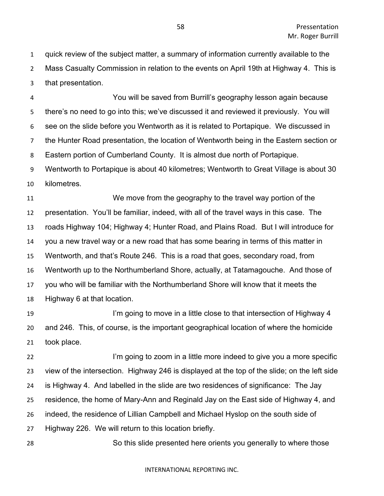quick review of the subject matter, a summary of information currently available to the Mass Casualty Commission in relation to the events on April 19th at Highway 4. This is that presentation.

 You will be saved from Burrill's geography lesson again because there's no need to go into this; we've discussed it and reviewed it previously. You will see on the slide before you Wentworth as it is related to Portapique. We discussed in the Hunter Road presentation, the location of Wentworth being in the Eastern section or Eastern portion of Cumberland County. It is almost due north of Portapique.

 Wentworth to Portapique is about 40 kilometres; Wentworth to Great Village is about 30 kilometres.

 We move from the geography to the travel way portion of the presentation. You'll be familiar, indeed, with all of the travel ways in this case. The roads Highway 104; Highway 4; Hunter Road, and Plains Road. But I will introduce for you a new travel way or a new road that has some bearing in terms of this matter in Wentworth, and that's Route 246. This is a road that goes, secondary road, from Wentworth up to the Northumberland Shore, actually, at Tatamagouche. And those of you who will be familiar with the Northumberland Shore will know that it meets the Highway 6 at that location.

**I'm going to move in a little close to that intersection of Highway 4**  and 246. This, of course, is the important geographical location of where the homicide took place.

**I'm going to zoom in a little more indeed to give you a more specific**  view of the intersection. Highway 246 is displayed at the top of the slide; on the left side is Highway 4. And labelled in the slide are two residences of significance: The Jay residence, the home of Mary-Ann and Reginald Jay on the East side of Highway 4, and indeed, the residence of Lillian Campbell and Michael Hyslop on the south side of Highway 226. We will return to this location briefly.

So this slide presented here orients you generally to where those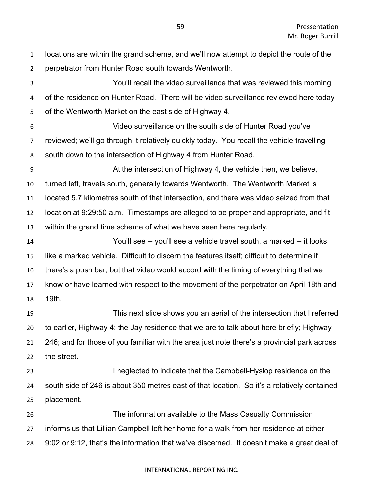locations are within the grand scheme, and we'll now attempt to depict the route of the perpetrator from Hunter Road south towards Wentworth. You'll recall the video surveillance that was reviewed this morning of the residence on Hunter Road. There will be video surveillance reviewed here today of the Wentworth Market on the east side of Highway 4. Video surveillance on the south side of Hunter Road you've reviewed; we'll go through it relatively quickly today. You recall the vehicle travelling south down to the intersection of Highway 4 from Hunter Road. At the intersection of Highway 4, the vehicle then, we believe, turned left, travels south, generally towards Wentworth. The Wentworth Market is located 5.7 kilometres south of that intersection, and there was video seized from that location at 9:29:50 a.m. Timestamps are alleged to be proper and appropriate, and fit within the grand time scheme of what we have seen here regularly. You'll see -- you'll see a vehicle travel south, a marked -- it looks like a marked vehicle. Difficult to discern the features itself; difficult to determine if there's a push bar, but that video would accord with the timing of everything that we know or have learned with respect to the movement of the perpetrator on April 18th and 19th. This next slide shows you an aerial of the intersection that I referred to earlier, Highway 4; the Jay residence that we are to talk about here briefly; Highway 246; and for those of you familiar with the area just note there's a provincial park across the street. I neglected to indicate that the Campbell-Hyslop residence on the south side of 246 is about 350 metres east of that location. So it's a relatively contained placement. The information available to the Mass Casualty Commission informs us that Lillian Campbell left her home for a walk from her residence at either 9:02 or 9:12, that's the information that we've discerned. It doesn't make a great deal of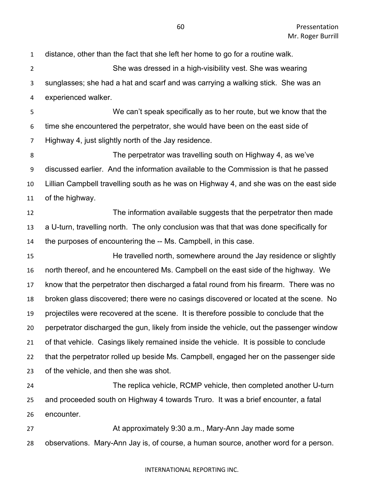distance, other than the fact that she left her home to go for a routine walk. She was dressed in a high-visibility vest. She was wearing sunglasses; she had a hat and scarf and was carrying a walking stick. She was an experienced walker. We can't speak specifically as to her route, but we know that the time she encountered the perpetrator, she would have been on the east side of Highway 4, just slightly north of the Jay residence. The perpetrator was travelling south on Highway 4, as we've discussed earlier. And the information available to the Commission is that he passed Lillian Campbell travelling south as he was on Highway 4, and she was on the east side of the highway. The information available suggests that the perpetrator then made a U-turn, travelling north. The only conclusion was that that was done specifically for the purposes of encountering the -- Ms. Campbell, in this case. He travelled north, somewhere around the Jay residence or slightly north thereof, and he encountered Ms. Campbell on the east side of the highway. We know that the perpetrator then discharged a fatal round from his firearm. There was no broken glass discovered; there were no casings discovered or located at the scene. No projectiles were recovered at the scene. It is therefore possible to conclude that the perpetrator discharged the gun, likely from inside the vehicle, out the passenger window of that vehicle. Casings likely remained inside the vehicle. It is possible to conclude that the perpetrator rolled up beside Ms. Campbell, engaged her on the passenger side of the vehicle, and then she was shot. The replica vehicle, RCMP vehicle, then completed another U-turn and proceeded south on Highway 4 towards Truro. It was a brief encounter, a fatal encounter. **At approximately 9:30 a.m., Mary-Ann Jay made some** observations. Mary-Ann Jay is, of course, a human source, another word for a person.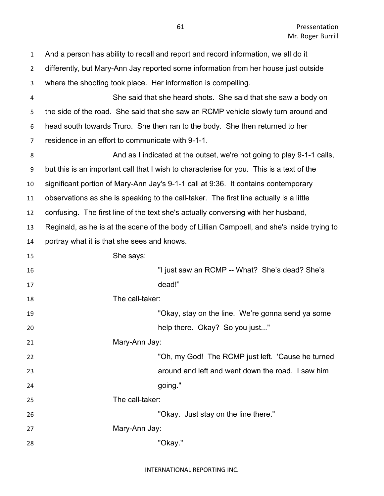| $\mathbf{1}$   | And a person has ability to recall and report and record information, we all do it          |
|----------------|---------------------------------------------------------------------------------------------|
| $\overline{2}$ | differently, but Mary-Ann Jay reported some information from her house just outside         |
| 3              | where the shooting took place. Her information is compelling.                               |
| 4              | She said that she heard shots. She said that she saw a body on                              |
| 5              | the side of the road. She said that she saw an RCMP vehicle slowly turn around and          |
| 6              | head south towards Truro. She then ran to the body. She then returned to her                |
| $\overline{7}$ | residence in an effort to communicate with 9-1-1.                                           |
| 8              | And as I indicated at the outset, we're not going to play 9-1-1 calls,                      |
| 9              | but this is an important call that I wish to characterise for you. This is a text of the    |
| 10             | significant portion of Mary-Ann Jay's 9-1-1 call at 9:36. It contains contemporary          |
| 11             | observations as she is speaking to the call-taker. The first line actually is a little      |
| 12             | confusing. The first line of the text she's actually conversing with her husband,           |
| 13             | Reginald, as he is at the scene of the body of Lillian Campbell, and she's inside trying to |
| 14             | portray what it is that she sees and knows.                                                 |
| 15             | She says:                                                                                   |
| 16             | "I just saw an RCMP -- What? She's dead? She's                                              |
| 17             | dead!"                                                                                      |
| 18             | The call-taker:                                                                             |
| 19             | "Okay, stay on the line. We're gonna send ya some                                           |
| 20             | help there. Okay? So you just"                                                              |
| 21             | Mary-Ann Jay:                                                                               |
| 22             | "Oh, my God! The RCMP just left. 'Cause he turned                                           |
| 23             | around and left and went down the road. I saw him                                           |
| 24             | going."                                                                                     |
| 25             | The call-taker:                                                                             |
| 26             | "Okay. Just stay on the line there."                                                        |
| 27             | Mary-Ann Jay:                                                                               |
|                |                                                                                             |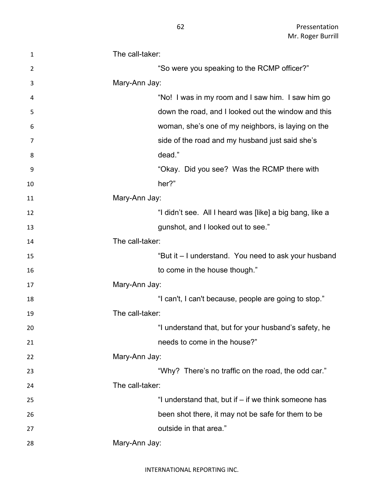| $\mathbf{1}$ | The call-taker:                                          |
|--------------|----------------------------------------------------------|
| 2            | "So were you speaking to the RCMP officer?"              |
| 3            | Mary-Ann Jay:                                            |
| 4            | "No! I was in my room and I saw him. I saw him go        |
| 5            | down the road, and I looked out the window and this      |
| 6            | woman, she's one of my neighbors, is laying on the       |
| 7            | side of the road and my husband just said she's          |
| 8            | dead."                                                   |
| 9            | "Okay. Did you see? Was the RCMP there with              |
| 10           | her?"                                                    |
| 11           | Mary-Ann Jay:                                            |
| 12           | "I didn't see. All I heard was [like] a big bang, like a |
| 13           | gunshot, and I looked out to see."                       |
| 14           | The call-taker:                                          |
| 15           | "But it – I understand. You need to ask your husband     |
| 16           | to come in the house though."                            |
| 17           | Mary-Ann Jay:                                            |
| 18           | "I can't, I can't because, people are going to stop."    |
| 19           | The call-taker:                                          |
| 20           | "I understand that, but for your husband's safety, he    |
| 21           | needs to come in the house?"                             |
| 22           | Mary-Ann Jay:                                            |
| 23           | "Why? There's no traffic on the road, the odd car."      |
| 24           | The call-taker:                                          |
| 25           | "I understand that, but if – if we think someone has     |
| 26           | been shot there, it may not be safe for them to be       |
| 27           | outside in that area."                                   |
| 28           | Mary-Ann Jay:                                            |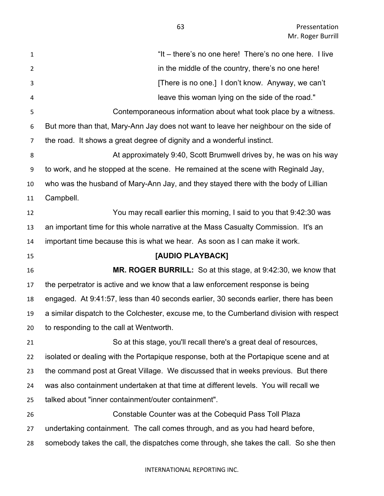| $\mathbf{1}$   | "It – there's no one here! There's no one here. I live                                   |
|----------------|------------------------------------------------------------------------------------------|
| $\overline{2}$ | in the middle of the country, there's no one here!                                       |
| 3              | [There is no one.] I don't know. Anyway, we can't                                        |
| 4              | leave this woman lying on the side of the road."                                         |
| 5              | Contemporaneous information about what took place by a witness.                          |
| 6              | But more than that, Mary-Ann Jay does not want to leave her neighbour on the side of     |
| $\overline{7}$ | the road. It shows a great degree of dignity and a wonderful instinct.                   |
| 8              | At approximately 9:40, Scott Brumwell drives by, he was on his way                       |
| 9              | to work, and he stopped at the scene. He remained at the scene with Reginald Jay,        |
| 10             | who was the husband of Mary-Ann Jay, and they stayed there with the body of Lillian      |
| 11             | Campbell.                                                                                |
| 12             | You may recall earlier this morning, I said to you that 9:42:30 was                      |
| 13             | an important time for this whole narrative at the Mass Casualty Commission. It's an      |
| 14             | important time because this is what we hear. As soon as I can make it work.              |
|                |                                                                                          |
| 15             | [AUDIO PLAYBACK]                                                                         |
| 16             | MR. ROGER BURRILL: So at this stage, at 9:42:30, we know that                            |
| 17             | the perpetrator is active and we know that a law enforcement response is being           |
| 18             | engaged. At 9:41:57, less than 40 seconds earlier, 30 seconds earlier, there has been    |
| 19             | a similar dispatch to the Colchester, excuse me, to the Cumberland division with respect |
| 20             | to responding to the call at Wentworth.                                                  |
| 21             | So at this stage, you'll recall there's a great deal of resources,                       |
| 22             | isolated or dealing with the Portapique response, both at the Portapique scene and at    |
| 23             | the command post at Great Village. We discussed that in weeks previous. But there        |
| 24             | was also containment undertaken at that time at different levels. You will recall we     |
| 25             | talked about "inner containment/outer containment".                                      |
| 26             | Constable Counter was at the Cobequid Pass Toll Plaza                                    |
| 27             | undertaking containment. The call comes through, and as you had heard before,            |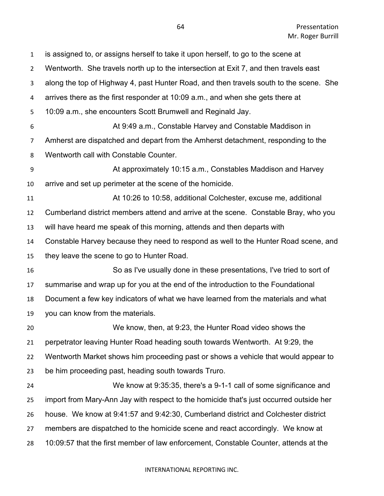| $\mathbf{1}$   | is assigned to, or assigns herself to take it upon herself, to go to the scene at      |
|----------------|----------------------------------------------------------------------------------------|
| $\overline{2}$ | Wentworth. She travels north up to the intersection at Exit 7, and then travels east   |
| 3              | along the top of Highway 4, past Hunter Road, and then travels south to the scene. She |
| 4              | arrives there as the first responder at 10:09 a.m., and when she gets there at         |
| 5              | 10:09 a.m., she encounters Scott Brumwell and Reginald Jay.                            |
| 6              | At 9:49 a.m., Constable Harvey and Constable Maddison in                               |
| $\overline{7}$ | Amherst are dispatched and depart from the Amherst detachment, responding to the       |
| 8              | Wentworth call with Constable Counter.                                                 |
| 9              | At approximately 10:15 a.m., Constables Maddison and Harvey                            |
| 10             | arrive and set up perimeter at the scene of the homicide.                              |
| 11             | At 10:26 to 10:58, additional Colchester, excuse me, additional                        |
| 12             | Cumberland district members attend and arrive at the scene. Constable Bray, who you    |
| 13             | will have heard me speak of this morning, attends and then departs with                |
| 14             | Constable Harvey because they need to respond as well to the Hunter Road scene, and    |
| 15             | they leave the scene to go to Hunter Road.                                             |
| 16             | So as I've usually done in these presentations, I've tried to sort of                  |
| 17             | summarise and wrap up for you at the end of the introduction to the Foundational       |
| 18             | Document a few key indicators of what we have learned from the materials and what      |
| 19             | you can know from the materials.                                                       |
| 20             | We know, then, at 9:23, the Hunter Road video shows the                                |
| 21             | perpetrator leaving Hunter Road heading south towards Wentworth. At 9:29, the          |
| 22             | Wentworth Market shows him proceeding past or shows a vehicle that would appear to     |
| 23             | be him proceeding past, heading south towards Truro.                                   |
| 24             | We know at 9:35:35, there's a 9-1-1 call of some significance and                      |
| 25             | import from Mary-Ann Jay with respect to the homicide that's just occurred outside her |
| 26             | house. We know at 9:41:57 and 9:42:30, Cumberland district and Colchester district     |
| 27             | members are dispatched to the homicide scene and react accordingly. We know at         |
| 28             | 10:09:57 that the first member of law enforcement, Constable Counter, attends at the   |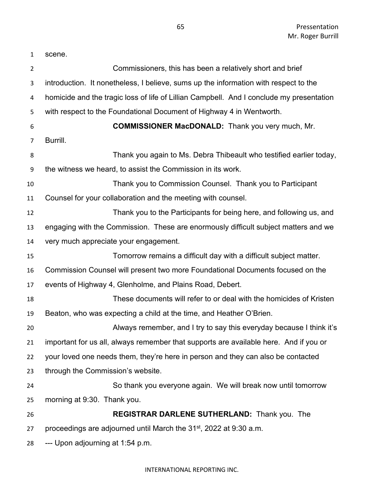| $\mathbf{1}$   | scene.                                                                                   |
|----------------|------------------------------------------------------------------------------------------|
| $\overline{2}$ | Commissioners, this has been a relatively short and brief                                |
| 3              | introduction. It nonetheless, I believe, sums up the information with respect to the     |
| 4              | homicide and the tragic loss of life of Lillian Campbell. And I conclude my presentation |
| 5              | with respect to the Foundational Document of Highway 4 in Wentworth.                     |
| 6              | <b>COMMISSIONER MacDONALD:</b> Thank you very much, Mr.                                  |
| 7              | Burrill.                                                                                 |
| 8              | Thank you again to Ms. Debra Thibeault who testified earlier today,                      |
| 9              | the witness we heard, to assist the Commission in its work.                              |
| 10             | Thank you to Commission Counsel. Thank you to Participant                                |
| 11             | Counsel for your collaboration and the meeting with counsel.                             |
| 12             | Thank you to the Participants for being here, and following us, and                      |
| 13             | engaging with the Commission. These are enormously difficult subject matters and we      |
| 14             | very much appreciate your engagement.                                                    |
| 15             | Tomorrow remains a difficult day with a difficult subject matter.                        |
| 16             | Commission Counsel will present two more Foundational Documents focused on the           |
| 17             | events of Highway 4, Glenholme, and Plains Road, Debert.                                 |
| 18             | These documents will refer to or deal with the homicides of Kristen                      |
| 19             | Beaton, who was expecting a child at the time, and Heather O'Brien.                      |
| 20             | Always remember, and I try to say this everyday because I think it's                     |
| 21             | important for us all, always remember that supports are available here. And if you or    |
| 22             | your loved one needs them, they're here in person and they can also be contacted         |
| 23             | through the Commission's website.                                                        |
| 24             | So thank you everyone again. We will break now until tomorrow                            |
| 25             | morning at 9:30. Thank you.                                                              |
| 26             | <b>REGISTRAR DARLENE SUTHERLAND: Thank you. The</b>                                      |
| 27             | proceedings are adjourned until March the 31 <sup>st</sup> , 2022 at 9:30 a.m.           |
| 28             | --- Upon adjourning at 1:54 p.m.                                                         |